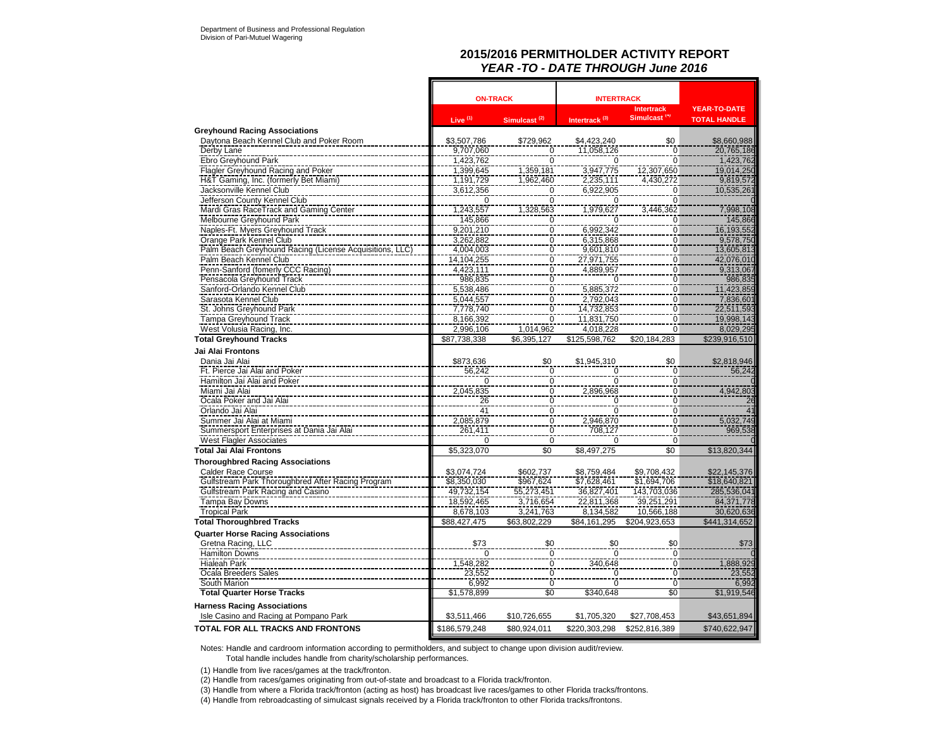### **2015/2016 PERMITHOLDER ACTIVITY REPORT** *YEAR -TO - DATE THROUGH June 2016*

|                                                         | <b>ON-TRACK</b> |                                      | <b>INTERTRACK</b>         |                                               |                                            |
|---------------------------------------------------------|-----------------|--------------------------------------|---------------------------|-----------------------------------------------|--------------------------------------------|
|                                                         | Live $(1)$      | Simulcast <sup>(2)</sup>             | Intertrack <sup>(3)</sup> | <b>Intertrack</b><br>Simulcast <sup>(4)</sup> | <b>YEAR-TO-DATE</b><br><b>TOTAL HANDLE</b> |
| <b>Greyhound Racing Associations</b>                    |                 |                                      |                           |                                               |                                            |
| Daytona Beach Kennel Club and Poker Room                | \$3,507,786     | \$729,962                            | \$4,423,240               | \$0                                           | \$8,660,988                                |
| Derby Lane                                              | 9,707,060       |                                      | 11,058,126                | $\mathbf 0$                                   | 20,765,186                                 |
| Ebro Greyhound Park                                     | 1,423,762       | $\frac{0}{0}$                        | $\Omega$                  | $\overline{0}$                                | 1,423,762                                  |
| <b>Flagler Greyhound Racing and Poker</b>               | 1,399,645       | 1,359,181                            | 3,947,775                 | 12,307,650                                    | 19,014,250                                 |
| H&T Gaming, Inc. (formerly Bet Miami)                   | 1,191,729       | 1,962,460                            | 2,235,111                 | 4,430,272                                     | 9,819,572                                  |
| Jacksonville Kennel Club                                | 3,612,356       | $\frac{0}{0}$                        | 6,922,905                 | 0                                             | 10,535,261                                 |
| Jefferson County Kennel Club                            | $\Omega$        |                                      | $\Omega$                  | 0                                             |                                            |
| Mardi Gras RaceTrack and Gaming Center                  | 1,243,557       | 1,328,563                            | 1,979,627                 | 3,446,362                                     | 7,998,108                                  |
| Melbourne Greyhound Park                                | 145,866         | $\overline{0}$                       | $\Omega$                  | 0                                             | 145,866                                    |
| Naples-Ft. Myers Greyhound Track                        | 9,201,210       | $\frac{0}{0}$                        | 6,992,342                 | 0                                             | 16, 193, 552                               |
| Orange Park Kennel Club                                 | 3,262,882       |                                      | 6,315,868                 | $\overline{0}$                                | 9,578,750                                  |
| Palm Beach Greyhound Racing (License Acquisitions, LLC) | 4,004,003       | 0                                    | 9,601,810                 | $\mathbf 0$                                   | 13,605,813                                 |
| Palm Beach Kennel Club                                  | 14,104,255      | $\overline{0}$                       | 27,971,755                | $\overline{0}$                                | 42,076,010                                 |
| Penn-Sanford (fomerly CCC Racing)                       | 4,423,111       | $\overline{0}$                       | 4,889,957                 | $\overline{0}$                                | 9,313,067                                  |
| Pensacola Greyhound Track                               | 986,835         | 0                                    | $\Omega$                  | $\overline{0}$                                | 986,835                                    |
| Sanford-Orlando Kennel Club                             | 5,538,486       | $\overline{0}$                       | 5,885,372                 | $\overline{0}$                                | 11,423,859                                 |
| Sarasota Kennel Club                                    | 5,044,557       | $\overline{0}$                       | 2,792,043                 | 0                                             | 7,836,601                                  |
| St. Johns Greyhound Park                                | 7,778,740       | $\overline{0}$                       | 14,732,853                | $\overline{0}$                                | 22,511,593                                 |
| <b>Tampa Greyhound Track</b>                            | 8,166,392       | 0                                    | 11,831,750                | 0                                             | 19,998,143                                 |
| West Volusia Racing, Inc.                               | 2,996,106       | 1,014,962                            | 4,018,228                 | $\overline{0}$                                | 8,029,295                                  |
| <b>Total Greyhound Tracks</b>                           | \$87,738,338    | \$6,395,127                          | \$125,598,762             | \$20,184,283                                  | \$239,916,510                              |
| Jai Alai Frontons                                       |                 |                                      |                           |                                               |                                            |
| Dania Jai Alai                                          | \$873,636       | \$0                                  | \$1,945,310               | \$0                                           | \$2,818,946                                |
| Ft. Pierce Jai Alai and Poker                           | 56,242          | 0                                    | $\mathbf 0$               | 0                                             | 56,242                                     |
| Hamilton Jai Alai and Poker                             | $\overline{0}$  | $\overline{0}$                       | $\overline{0}$            | $\overline{0}$                                |                                            |
| Miami Jai Alai                                          | 2,045,835       | $\overline{0}$                       | 2,896,968                 | $\overline{0}$                                | 4,942,803                                  |
| Ocala Poker and Jai Alai                                | 26              | $\overline{0}$                       | $\mathbf 0$               | $\overline{0}$                                | 26                                         |
| Orlando Jai Alai                                        | 41              |                                      | $\overline{0}$            | Ō                                             | 41                                         |
| Summer Jai Alai at Miami                                | 2,085,879       | $\begin{matrix} 0 \\ 0 \end{matrix}$ | 2,946,870                 | $\overline{0}$                                | 5,032,749                                  |
| Summersport Enterprises at Dania Jai Alai               | 261,411         | $\overline{0}$                       | 708,127                   | $\mathbf 0$                                   | 969,538                                    |
| <b>West Flagler Associates</b>                          | $\mathbf 0$     | $\overline{0}$                       | $\Omega$                  | $\mathbf 0$                                   |                                            |
| <b>Total Jai Alai Frontons</b>                          | \$5,323,070     | \$0                                  | \$8,497,275               | \$0                                           | \$13,820,344                               |
| <b>Thoroughbred Racing Associations</b>                 |                 |                                      |                           |                                               |                                            |
| <b>Calder Race Course</b>                               | \$3,074,724     | \$602,737                            | \$8,759,484               | \$9,708,432                                   | \$22,145,376                               |
| Gulfstream Park Thoroughbred After Racing Program       | \$8,350,030     | \$967,624                            | \$7,628,461               | \$1,694,706                                   | \$18,640,821                               |
| Gulfstream Park Racing and Casino                       | 49,732,154      | 55,273,451                           | 36,827,401                | 143,703,036                                   | 285,536,041                                |
| Tampa Bay Downs                                         | 18,592,465      | 3,716,654                            | 22,811,368                | 39,251,291                                    | 84,371,778                                 |
| <b>Tropical Park</b>                                    | 8,678,103       | 3,241,763                            | 8,134,582                 | 10,566,188                                    | 30,620,636                                 |
| <b>Total Thoroughbred Tracks</b>                        | \$88.427.475    | \$63.802.229                         | \$84.161.295              | \$204.923.653                                 | \$441,314,652                              |
| <b>Quarter Horse Racing Associations</b>                |                 |                                      |                           |                                               |                                            |
| Gretna Racing, LLC                                      | \$73            | \$0                                  | \$0                       | \$0                                           | \$73                                       |
| <b>Hamilton Downs</b>                                   | $\Omega$        |                                      | $\Omega$                  | 0                                             |                                            |
| <b>Hialeah Park</b>                                     | 1,548,282       | $\frac{0}{0}$                        | 340,648                   | $\bar{0}$                                     | 1,888,929                                  |
| Ocala Breeders Sales                                    | 23,552          | $\overline{0}$                       | $\mathbf 0$               | $\overline{0}$                                | 23.552                                     |
| South Marion                                            | 6,992           | $\overline{0}$                       | $\overline{0}$            | ō                                             | 6,992                                      |
| <b>Total Quarter Horse Tracks</b>                       | \$1,578,899     | \$0                                  | \$340,648                 | \$0                                           | \$1,919,546                                |
|                                                         |                 |                                      |                           |                                               |                                            |
| <b>Harness Racing Associations</b>                      |                 |                                      |                           |                                               |                                            |
| Isle Casino and Racing at Pompano Park                  | \$3,511,466     | \$10,726,655                         | \$1,705,320               | \$27,708,453                                  | \$43,651,894                               |
| <b>TOTAL FOR ALL TRACKS AND FRONTONS</b>                | \$186,579,248   | \$80.924.011                         | \$220.303.298             | \$252,816,389                                 | \$740.622.947                              |

 $\mathbf{r}$ 

Notes: Handle and cardroom information according to permitholders, and subject to change upon division audit/review. Total handle includes handle from charity/scholarship performances.

(1) Handle from live races/games at the track/fronton.

(2) Handle from races/games originating from out-of-state and broadcast to a Florida track/fronton.

(3) Handle from where a Florida track/fronton (acting as host) has broadcast live races/games to other Florida tracks/frontons.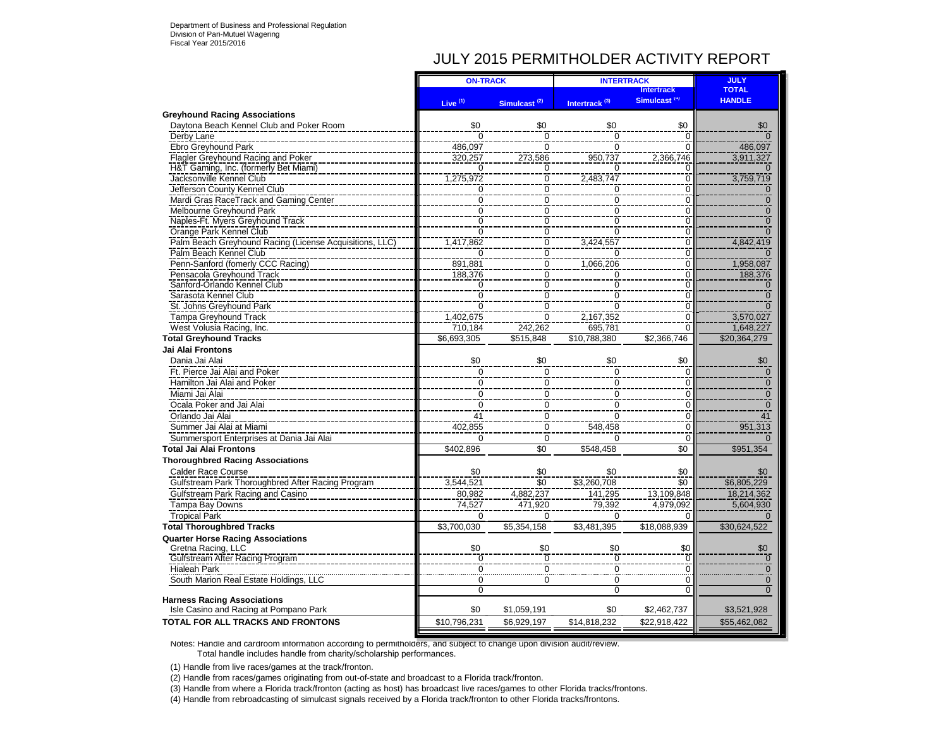## JULY 2015 PERMITHOLDER ACTIVITY REPORT

|                                                             | <b>ON-TRACK</b>                  |                                  | <b>INTERTRACK</b>                | <b>JULY</b>                      |               |
|-------------------------------------------------------------|----------------------------------|----------------------------------|----------------------------------|----------------------------------|---------------|
|                                                             |                                  |                                  |                                  | <b>Intertrack</b>                | <b>TOTAL</b>  |
|                                                             | Live $(1)$                       | Simulcast <sup>(2)</sup>         | Intertrack <sup>(3)</sup>        | Simulcast <sup>(4)</sup>         | <b>HANDLE</b> |
| <b>Greyhound Racing Associations</b>                        |                                  |                                  |                                  |                                  |               |
| Daytona Beach Kennel Club and Poker Room                    | \$0                              | \$0                              | \$0                              | \$0                              | \$0           |
| Derby Lane                                                  | $\overline{0}$                   | $\overline{0}$                   | $\overline{0}$                   | $\Omega$                         |               |
| Ebro Greyhound Park                                         | 486,097                          | $\overline{0}$                   | $\overline{0}$                   |                                  | 486,097       |
| <b>Flagler Greyhound Racing and Poker</b>                   | 320,257                          | 273,586                          | 950,737                          | 2,366,746                        | 3,911,327     |
| H&T Gaming, Inc. (formerly Bet Miami)                       | $\Omega$                         | $\mathbf 0$                      | $\Omega$                         | $\Omega$                         |               |
| Jacksonville Kennel Club                                    | 1,275,972                        | $\overline{0}$                   | 2,483,747                        | $\overline{0}$                   | 3,759,719     |
| Jefferson County Kennel Club                                | $\mathbf 0$                      | $\overline{0}$                   | 0                                | $\Omega$                         | $\Omega$      |
| Mardi Gras RaceTrack and Gaming Center                      | $\mathbf 0$<br>$\overline{0}$    | $\overline{0}$<br>$\overline{0}$ | $\overline{0}$<br>$\overline{0}$ | $\Omega$<br>$\overline{0}$       | O             |
| Melbourne Greyhound Park                                    |                                  | $\overline{0}$                   | $\overline{0}$                   |                                  |               |
| Naples-Ft. Myers Greyhound Track<br>Orange Park Kennel Club | $\overline{0}$<br>$\overline{0}$ | $\overline{0}$                   | $\overline{0}$                   | $\overline{0}$<br>$\overline{0}$ |               |
| Palm Beach Greyhound Racing (License Acquisitions, LLC)     | 1.417.862                        | $\overline{0}$                   | 3.424.557                        | $\overline{0}$                   | 4,842,419     |
| Palm Beach Kennel Club                                      |                                  |                                  |                                  | $\Omega$                         |               |
| Penn-Sanford (fomerly CCC Racing)                           | $\Omega$<br>891,881              | $\mathbf 0$<br>$\mathbf 0$       | 0<br>1,066,206                   | $\Omega$                         | 1,958,087     |
| Pensacola Greyhound Track                                   | 188,376                          | $\overline{0}$                   | 0                                | $\overline{0}$                   | 188,376       |
| Sanford-Orlando Kennel Club                                 | $\overline{0}$                   | $\overline{0}$                   | ō                                | $\overline{0}$                   |               |
| Sarasota Kennel Club                                        | $\overline{0}$                   | $\overline{0}$                   | $\overline{0}$                   | $\overline{0}$                   | $\Omega$      |
| St. Johns Greyhound Park                                    | $\overline{0}$                   | $\overline{0}$                   | $\overline{0}$                   | $\overline{0}$                   |               |
| <b>Tampa Greyhound Track</b>                                | 1.402.675                        | $\overline{0}$                   | 2.167.352                        | $\Omega$                         | 3.570.027     |
| West Volusia Racing, Inc.                                   | 710,184                          | 242,262                          | 695,781                          | $\Omega$                         | 1,648,227     |
| <b>Total Greyhound Tracks</b>                               | \$6,693,305                      | \$515,848                        | \$10.788.380                     | \$2,366,746                      | \$20,364,279  |
| Jai Alai Frontons                                           |                                  |                                  |                                  |                                  |               |
| Dania Jai Alai                                              | \$0                              | \$0                              | \$0                              | \$0                              | \$0           |
| Ft. Pierce Jai Alai and Poker                               | $\mathbf 0$                      | $\mathbf 0$                      | $\mathbf 0$                      | $\Omega$                         | $\Omega$      |
| Hamilton Jai Alai and Poker                                 | $\overline{0}$                   | $\overline{0}$                   | $\overline{0}$                   | $\overline{0}$                   |               |
| Miami Jai Alai                                              | $\pmb{0}$                        | 0                                | $\pmb{0}$                        | $\mathbf 0$                      | $\Omega$      |
| Ocala Poker and Jai Alai                                    | $\mathbf 0$                      | $\overline{0}$                   | $\overline{0}$                   | $\mathbf 0$                      | $\Omega$      |
| Orlando Jai Alai                                            | 41                               | $\overline{0}$                   | $\overline{0}$                   | $\mathbf 0$                      | 41            |
| Summer Jai Alai at Miami                                    | 402,855                          | $\mathbf 0$                      | 548,458                          | $\mathbf 0$                      | 951,313       |
| Summersport Enterprises at Dania Jai Alai                   | $\Omega$                         | $\Omega$                         | $\Omega$                         | $\Omega$                         |               |
| <b>Total Jai Alai Frontons</b>                              | \$402,896                        | \$0                              | \$548,458                        | \$0                              | \$951,354     |
| <b>Thoroughbred Racing Associations</b>                     |                                  |                                  |                                  |                                  |               |
| <b>Calder Race Course</b>                                   | \$0                              | \$0                              | \$0                              | \$0                              | \$0           |
| Gulfstream Park Thoroughbred After Racing Program           | 3.544.521                        | \$0                              | \$3,260,708                      | \$0                              | \$6,805,229   |
| Gulfstream Park Racing and Casino                           | 80,982                           | 4,882,237                        | 141.295                          | 13.109.848                       | 18,214,362    |
| <b>Tampa Bay Downs</b>                                      | 74.527                           | 471.920                          | 79.392                           | 4.979.092                        | 5,604,930     |
| <b>Tropical Park</b>                                        | $\Omega$                         | $\Omega$                         | $\Omega$                         | $\Omega$                         |               |
| <b>Total Thoroughbred Tracks</b>                            | \$3,700,030                      | \$5,354,158                      | \$3,481,395                      | \$18,088,939                     | \$30,624,522  |
| <b>Quarter Horse Racing Associations</b>                    |                                  |                                  |                                  |                                  |               |
| Gretna Racing, LLC                                          | \$0                              | \$0                              | \$0                              | \$0                              | \$0           |
| Gulfstream After Racing Program                             | ក                                | Ō                                | $\overline{0}$                   | $\Omega$                         | $\Omega$      |
| <b>Hialeah Park</b>                                         | $\Omega$                         | $\Omega$                         | $\overline{0}$                   | $\Omega$                         |               |
| South Marion Real Estate Holdings, LLC                      | 0                                | 0                                | 0                                | 0                                | $\mathbf 0$   |
|                                                             | $\overline{0}$                   |                                  | $\overline{0}$                   | $\Omega$                         |               |
| <b>Harness Racing Associations</b>                          |                                  |                                  |                                  |                                  |               |
| Isle Casino and Racing at Pompano Park                      | \$0                              | \$1,059,191                      | \$0                              | \$2,462,737                      | \$3,521,928   |
| <b>TOTAL FOR ALL TRACKS AND FRONTONS</b>                    | \$10,796,231                     | \$6,929,197                      | \$14,818,232                     | \$22,918,422                     | \$55,462,082  |
|                                                             |                                  |                                  |                                  |                                  |               |

Notes: Handle and cardroom information according to permitholders, and subject to change upon division audit/review. Total handle includes handle from charity/scholarship performances.

(1) Handle from live races/games at the track/fronton.

(2) Handle from races/games originating from out-of-state and broadcast to a Florida track/fronton.

(3) Handle from where a Florida track/fronton (acting as host) has broadcast live races/games to other Florida tracks/frontons.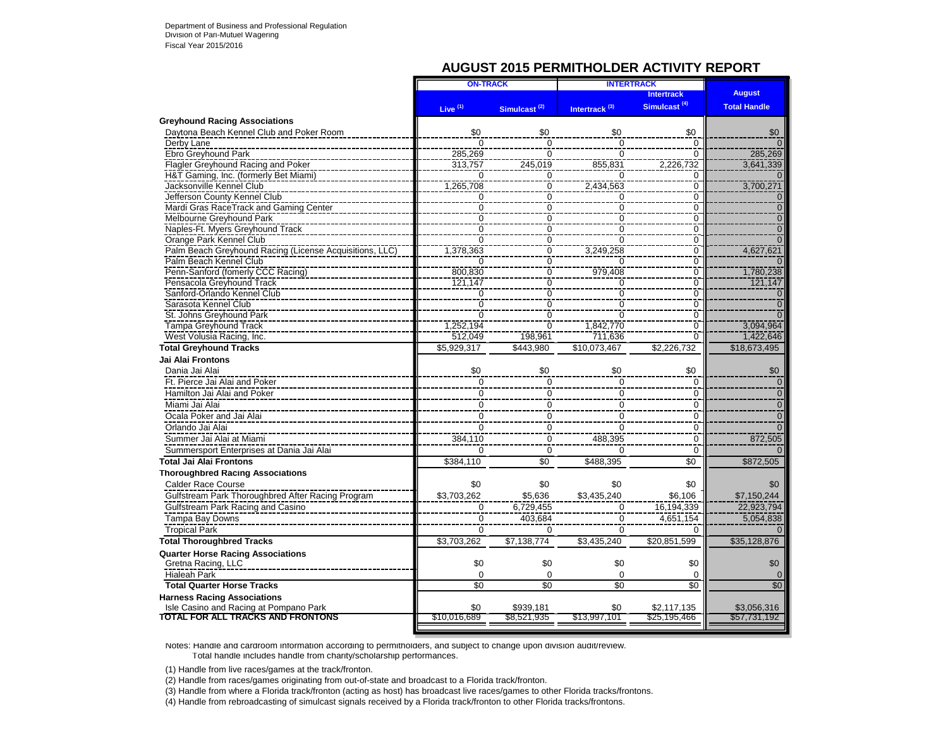### **AUGUST 2015 PERMITHOLDER ACTIVITY REPORT**

|                                                         | <b>ON-TRACK</b>     |                           | <b>INTERTRACK</b>         |                          |                     |
|---------------------------------------------------------|---------------------|---------------------------|---------------------------|--------------------------|---------------------|
|                                                         |                     |                           |                           | <b>Intertrack</b>        | <b>August</b>       |
|                                                         | Live <sup>(1)</sup> | Simulcast <sup>(2)</sup>  | Intertrack <sup>(3)</sup> | Simulcast <sup>(4)</sup> | <b>Total Handle</b> |
| <b>Greyhound Racing Associations</b>                    |                     |                           |                           |                          |                     |
| Daytona Beach Kennel Club and Poker Room                | \$0                 | \$0                       | \$0                       | \$0                      | \$0                 |
| Derby Lane                                              | $\Omega$            | $\overline{0}$            | 0                         | $\mathbf 0$              | $\Omega$            |
| Ebro Greyhound Park                                     | 285,269             | $\overline{0}$            | $\overline{0}$            | $\Omega$                 | 285,269             |
| Flagler Greyhound Racing and Poker                      | 313,757             | 245.019                   | 855.831                   | 2,226,732                | 3.641.339           |
| H&T Gaming, Inc. (formerly Bet Miami)                   | $\Omega$            | ō                         | $\Omega$                  | $\Omega$                 | n                   |
| Jacksonville Kennel Club                                | 1,265,708           | $\overline{0}$            | 2,434,563                 | 0                        | 3,700,271           |
| Jefferson County Kennel Club                            | 0                   | $\overline{0}$            | 0                         | 0                        | $\Omega$            |
| Mardi Gras RaceTrack and Gaming Center                  | $\overline{0}$      | $\overline{0}$            | $\overline{0}$            | $\overline{0}$           | $\overline{0}$      |
| Melbourne Greyhound Park                                | $\overline{0}$      | $\overline{0}$            | $\overline{0}$            | $\overline{0}$           | $\overline{0}$      |
| Naples-Ft. Myers Greyhound Track                        | $\overline{0}$      | $\overline{0}$            | $\overline{0}$            | $\overline{0}$           | $\overline{0}$      |
| Orange Park Kennel Club                                 | $\overline{0}$      | $\overline{0}$            | $\overline{0}$            | $\overline{0}$           | $\overline{0}$      |
| Palm Beach Greyhound Racing (License Acquisitions, LLC) | 1,378,363           | $\overline{0}$            | 3,249,258                 | $\overline{0}$           | 4,627,621           |
| Palm Beach Kennel Club                                  | $\Omega$            | $\overline{0}$            | $\Omega$                  | $\overline{0}$           | U                   |
| Penn-Sanford (fomerly CCC Racing)                       | 800.830             | $\overline{0}$            | 979.408                   | $\overline{0}$           | 1.780.238           |
| Pensacola Greyhound Track                               | 121,147             | $\mathbf 0$               | 0                         | 0                        | 121.147             |
| Sanford-Orlando Kennel Club                             | $\Omega$            | $\overline{0}$            | $\overline{0}$            | $\overline{0}$           | $\Omega$            |
| Sarasota Kennel Club                                    | $\overline{0}$      | $\overline{0}$            | $\overline{0}$            | $\overline{0}$           | $\overline{0}$      |
| St. Johns Greyhound Park                                | $\overline{0}$      | $\frac{8}{0}$             | $\overline{0}$            | $\overline{0}$           | $\overline{0}$      |
| <b>Tampa Greyhound Track</b>                            | 1,252,194           | $\overline{0}$            | 1,842,770                 | $\overline{0}$           | 3,094,964           |
| West Volusia Racing, Inc.                               | 512,049             | 198,961                   | 711,636                   | $\overline{0}$           | 1,422,646           |
| <b>Total Greyhound Tracks</b>                           | \$5,929,317         | \$443,980                 | \$10,073,467              | \$2,226,732              | \$18,673,495        |
| Jai Alai Frontons                                       |                     |                           |                           |                          |                     |
| Dania Jai Alai                                          | \$0                 | \$0                       | \$0                       | \$0                      | \$0                 |
| Ft. Pierce Jai Alai and Poker                           | $\mathbf 0$         | $\mathbf 0$               | $\mathbf 0$               | $\mathbf 0$              | $\overline{0}$      |
| Hamilton Jai Alai and Poker                             | $\mathbf 0$         | $\mathbf 0$               | $\mathbf 0$               | $\mathbf 0$              | $\mathbf 0$         |
| Miami Jai Alai                                          | $\mathbf 0$         | $\mathbf 0$               | $\mathbf 0$               | $\mathbf 0$              | $\overline{0}$      |
| Ocala Poker and Jai Alai                                | $\overline{0}$      | $\overline{0}$            | $\Omega$                  | $\mathbf 0$              | $\overline{0}$      |
| Orlando Jai Alai                                        | $\overline{0}$      | $\overline{\overline{0}}$ | $\Omega$                  | $\mathbf 0$              | $\Omega$            |
| Summer Jai Alai at Miami                                | 384,110             | $\Omega$                  | 488,395                   | 0                        | 872,505             |
| Summersport Enterprises at Dania Jai Alai               | $\Omega$            | $\overline{0}$            | $\Omega$                  | $\Omega$                 |                     |
| <b>Total Jai Alai Frontons</b>                          | \$384,110           | \$0                       | \$488,395                 | \$0                      | \$872,505           |
| <b>Thoroughbred Racing Associations</b>                 |                     |                           |                           |                          |                     |
|                                                         |                     |                           |                           |                          |                     |
| <b>Calder Race Course</b>                               | \$0                 | \$0                       | \$0                       | \$0                      | \$0                 |
| Gulfstream Park Thoroughbred After Racing Program       | \$3.703.262         | \$5.636                   | \$3.435.240               | \$6.106                  | \$7.150.244         |
| Gulfstream Park Racing and Casino                       | $\mathbf 0$         | 6,729,455                 | $\Omega$                  | 16,194,339               | 22.923.794          |
| Tampa Bay Downs                                         | $\Omega$            | 403,684                   | $\mathbf 0$               | 4,651,154                | 5,054,838           |
| <b>Tropical Park</b>                                    | $\Omega$            | $\Omega$                  | $\Omega$                  | <sup>0</sup>             |                     |
| <b>Total Thoroughbred Tracks</b>                        | \$3,703,262         | \$7.138.774               | \$3.435.240               | \$20,851,599             | \$35,128,876        |
| <b>Quarter Horse Racing Associations</b>                |                     |                           |                           |                          |                     |
| Gretna Racing, LLC                                      | \$0                 | \$0                       | \$0                       | \$0                      | \$0                 |
| <b>Hialeah Park</b>                                     | $\Omega$            | $\mathbf 0$               | 0                         | $\mathbf 0$              | $\Omega$            |
| <b>Total Quarter Horse Tracks</b>                       | $\overline{30}$     | $\overline{50}$           | $\overline{50}$           | \$0                      | \$0                 |
| <b>Harness Racing Associations</b>                      |                     |                           |                           |                          |                     |
| Isle Casino and Racing at Pompano Park                  | \$0                 | \$939,181                 | \$0                       | \$2,117,135              | \$3,056,316         |
| <b>TOTAL FOR ALL TRACKS AND FRONTONS</b>                | \$10.016.689        | \$8,521,935               | \$13,997,101              | \$25,195,466             | \$57,731,192        |
|                                                         |                     |                           |                           |                          |                     |

Notes: Handle and cardroom information according to permitholders, and subject to change upon division audit/review. Total handle includes handle from charity/scholarship performances.

(1) Handle from live races/games at the track/fronton.

(2) Handle from races/games originating from out-of-state and broadcast to a Florida track/fronton.

(3) Handle from where a Florida track/fronton (acting as host) has broadcast live races/games to other Florida tracks/frontons.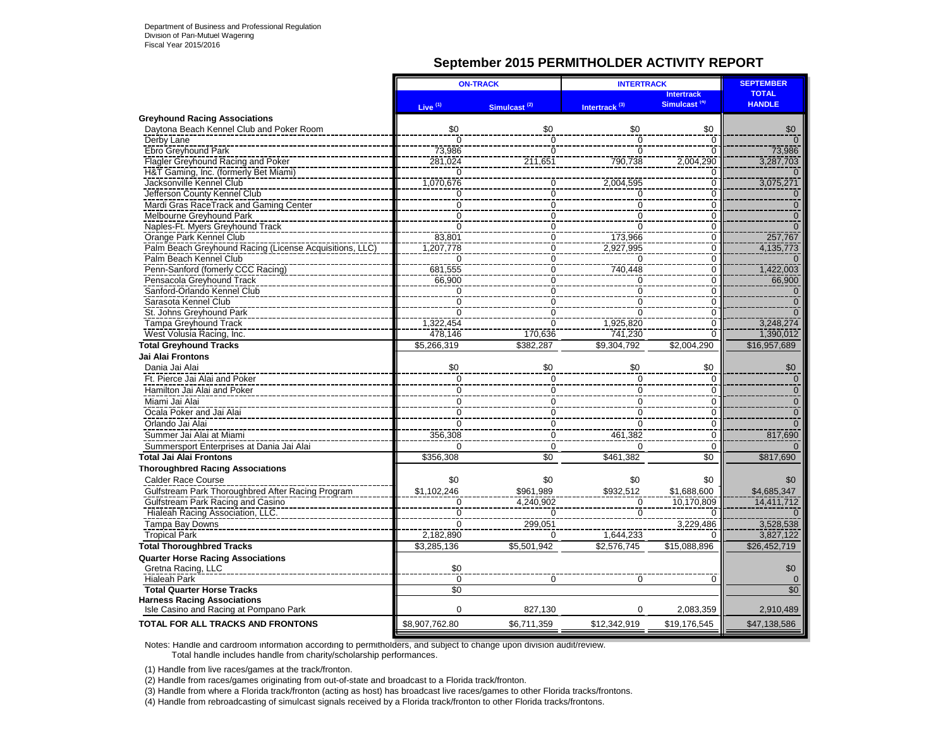### **September 2015 PERMITHOLDER ACTIVITY REPORT**

|                                                                              | <b>ON-TRACK</b>       |                          | <b>INTERTRACK</b>         | <b>SEPTEMBER</b>                              |                               |
|------------------------------------------------------------------------------|-----------------------|--------------------------|---------------------------|-----------------------------------------------|-------------------------------|
|                                                                              | Live $(1)$            | Simulcast <sup>(2)</sup> | Intertrack <sup>(3)</sup> | <b>Intertrack</b><br>Simulcast <sup>(4)</sup> | <b>TOTAL</b><br><b>HANDLE</b> |
| <b>Greyhound Racing Associations</b>                                         |                       |                          |                           |                                               |                               |
| Daytona Beach Kennel Club and Poker Room                                     | \$0                   | \$0                      | \$0                       | \$0                                           | \$0                           |
| Derby Lane                                                                   | $\overline{0}$        | Ō                        | $\overline{0}$            | $\overline{0}$                                |                               |
| Ebro Greyhound Park                                                          | 73,986                | $\overline{0}$           | $\overline{0}$            | $\overline{0}$                                | 73,986                        |
| Flagler Greyhound Racing and Poker                                           | 281,024               | 211,651                  | 790,738                   | 2,004,290                                     | 3,287,703                     |
| H&T Gaming, Inc. (formerly Bet Miami)                                        | $\Omega$              |                          |                           | $\mathbf 0$                                   |                               |
| Jacksonville Kennel Club                                                     | 1,070,676             | $\overline{0}$           | 2,004,595                 | $\overline{0}$                                | 3,075,271                     |
| Jefferson County Kennel Club                                                 | 0                     | $\overline{0}$           | 0                         | $\overline{0}$                                | $\mathbf{0}$                  |
| Mardi Gras RaceTrack and Gaming Center                                       | $\overline{0}$        | $\overline{0}$           | $\overline{0}$            | $\overline{0}$                                | $\overline{0}$                |
| <b>Melbourne Greyhound Park</b>                                              | $\overline{0}$        | $\overline{0}$           | $\overline{0}$            | $\overline{0}$                                | $\overline{0}$                |
| Naples-Ft. Myers Greyhound Track                                             | $\overline{0}$        | $\overline{0}$           | $\overline{0}$            | $\overline{0}$                                | $\overline{0}$                |
| Orange Park Kennel Club                                                      | 83,801                | $\overline{0}$           | 173,966                   | $\overline{0}$                                | 257,767                       |
| Palm Beach Greyhound Racing (License Acquisitions, LLC)                      | 1,207,778             | $\overline{0}$           | 2,927,995                 | $\overline{0}$                                | 4,135,773                     |
| Palm Beach Kennel Club                                                       | $\overline{0}$        | $\overline{0}$           | $\overline{0}$            | $\overline{0}$                                | $\Omega$                      |
| Penn-Sanford (fomerly CCC Racing)                                            | 681,555               | $\overline{0}$           | 740,448                   | $\overline{0}$                                | 1,422,003                     |
| Pensacola Greyhound Track                                                    | 66,900                | $\overline{0}$           | $\overline{0}$            | $\overline{0}$                                | 66,900                        |
| Sanford-Orlando Kennel Club                                                  | $\Omega$              | $\overline{0}$           | $\overline{0}$            | $\overline{0}$                                |                               |
| Sarasota Kennel Club                                                         | $\overline{0}$        | $\overline{0}$           | $\overline{0}$            | $\overline{0}$                                | $\overline{0}$                |
| St. Johns Greyhound Park                                                     | $\Omega$              | $\overline{0}$           | $\overline{0}$            | $\overline{0}$                                | $\Omega$                      |
| <b>Tampa Greyhound Track</b>                                                 | 1,322,454             | $\overline{0}$           | 1,925,820                 | $\overline{0}$                                | 3.248.274                     |
| West Volusia Racing, Inc.                                                    | 478.146               | 170,636                  | 741.230                   | $\Omega$                                      | 1,390,012                     |
| <b>Total Greyhound Tracks</b>                                                | \$5,266,319           | \$382,287                | \$9,304,792               | \$2.004.290                                   | \$16,957,689                  |
| Jai Alai Frontons                                                            |                       |                          |                           |                                               |                               |
| Dania Jai Alai                                                               | \$0                   | \$0                      | \$0                       | \$0                                           | \$0                           |
| Ft. Pierce Jai Alai and Poker                                                | $\Omega$              | 0                        | $\overline{0}$            | $\mathbf 0$                                   | $\Omega$                      |
| Hamilton Jai Alai and Poker                                                  | 0                     | $\mathbf 0$              | $\overline{0}$            | $\overline{0}$                                | $\mathbf{0}$                  |
| Miami Jai Alai                                                               | $\overline{0}$        | $\overline{0}$           | $\overline{0}$            | $\overline{0}$                                | $\overline{0}$                |
| Ocala Poker and Jai Alai                                                     | 0                     | 0                        | $\overline{0}$            | $\overline{0}$                                | $\mathbf{0}$                  |
| Orlando Jai Alai                                                             | $\overline{0}$        | $\mathbf 0$              | $\overline{0}$            | $\overline{0}$                                | $\Omega$                      |
| Summer Jai Alai at Miami                                                     | 356,308               | $\mathbf 0$              | 461,382                   | $\mathbf 0$                                   | 817,690                       |
| Summersport Enterprises at Dania Jai Alai                                    | $\Omega$              | $\Omega$                 | $\Omega$                  | $\Omega$                                      | $\Omega$                      |
| <b>Total Jai Alai Frontons</b>                                               | \$356,308             | $\overline{50}$          | \$461,382                 | $\overline{50}$                               | \$817,690                     |
| <b>Thoroughbred Racing Associations</b>                                      |                       |                          |                           |                                               |                               |
| <b>Calder Race Course</b>                                                    | \$0                   | \$0                      | \$0                       | \$0                                           | \$0                           |
| Gulfstream Park Thoroughbred After Racing Program                            | \$1,102,246           | \$961.989                | \$932,512                 | \$1,688,600                                   | \$4,685,347                   |
| Gulfstream Park Racing and Casino                                            | 0                     | 4,240,902                |                           | 10,170,809                                    | 14,411,712                    |
| <b>Hialeah Racing Association, LLC.</b>                                      | $\overline{0}$        | Ō                        | 0<br>$\overline{0}$       | $\overline{0}$                                | $\Omega$                      |
| Tampa Bay Downs                                                              | $\Omega$              | 299,051                  |                           | 3,229,486                                     | 3,528,538                     |
| <b>Tropical Park</b>                                                         | 2,182,890             | $\mathbf 0$              | 1,644,233                 | $\Omega$                                      | 3,827,122                     |
| <b>Total Thoroughbred Tracks</b>                                             |                       |                          |                           |                                               |                               |
|                                                                              | \$3,285,136           | \$5,501,942              | \$2,576,745               | \$15,088,896                                  | \$26,452,719                  |
| <b>Quarter Horse Racing Associations</b>                                     |                       |                          |                           |                                               |                               |
| Gretna Racing, LLC                                                           | \$0<br>$\overline{0}$ |                          |                           |                                               | \$0                           |
| <b>Hialeah Park</b>                                                          |                       | 0                        | 0                         | $\Omega$                                      | $\Omega$                      |
| <b>Total Quarter Horse Tracks</b>                                            | \$0                   |                          |                           |                                               | \$0                           |
| <b>Harness Racing Associations</b><br>Isle Casino and Racing at Pompano Park | $\Omega$              | 827,130                  | 0                         | 2,083,359                                     | 2,910,489                     |
| <b>TOTAL FOR ALL TRACKS AND FRONTONS</b>                                     | \$8,907,762.80        | \$6,711,359              | \$12,342,919              | \$19,176,545                                  | \$47,138,586                  |

Notes: Handle and cardroom information according to permitholders, and subject to change upon division audit/review. Total handle includes handle from charity/scholarship performances.

(1) Handle from live races/games at the track/fronton.

(2) Handle from races/games originating from out-of-state and broadcast to a Florida track/fronton.

(3) Handle from where a Florida track/fronton (acting as host) has broadcast live races/games to other Florida tracks/frontons.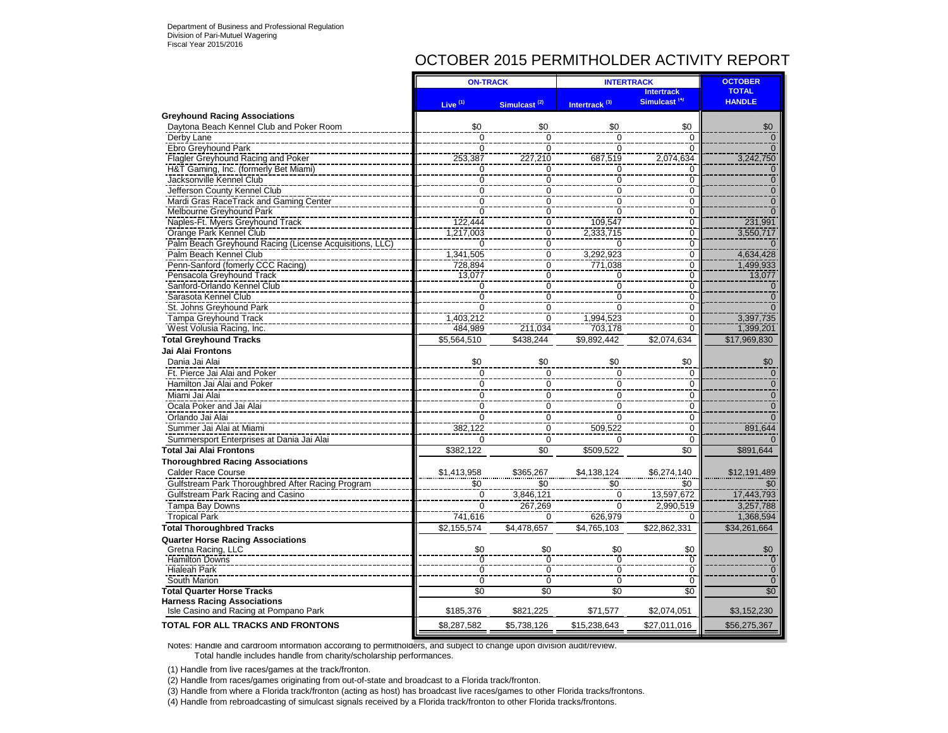### OCTOBER 2015 PERMITHOLDER ACTIVITY REPORT

|                                                         | <b>ON-TRACK</b> |                          | <b>INTERTRACK</b>         |                                               | <b>OCTOBER</b>                |
|---------------------------------------------------------|-----------------|--------------------------|---------------------------|-----------------------------------------------|-------------------------------|
|                                                         | Live $(1)$      | Simulcast <sup>(2)</sup> | Intertrack <sup>(3)</sup> | <b>Intertrack</b><br>Simulcast <sup>(4)</sup> | <b>TOTAL</b><br><b>HANDLE</b> |
| <b>Greyhound Racing Associations</b>                    |                 |                          |                           |                                               |                               |
| Daytona Beach Kennel Club and Poker Room                | \$0             | \$0                      | \$0                       | \$0                                           | \$0                           |
| Derby Lane                                              | $\overline{0}$  | $\overline{0}$           | $\overline{0}$            | $\overline{0}$                                | $\Omega$                      |
| Ebro Greyhound Park                                     | $\Omega$        | $\Omega$                 | 0                         | $\Omega$                                      | $\Omega$                      |
| Flagler Greyhound Racing and Poker                      | 253,387         | 227,210                  | 687,519                   | 2,074,634                                     | 3,242,750                     |
| H&T Gaming, Inc. (formerly Bet Miami)                   | $\Omega$        | $\Omega$                 | 0                         | $\Omega$                                      | $\Omega$                      |
| Jacksonville Kennel Club                                | $\overline{0}$  | $\overline{0}$           | $\overline{0}$            | $\overline{0}$                                | $\overline{0}$                |
| Jefferson County Kennel Club                            | $\Omega$        | $\Omega$                 | $\mathbf 0$               | $\mathbf 0$                                   | $\Omega$                      |
| Mardi Gras RaceTrack and Gaming Center                  | $\Omega$        | $\Omega$                 | $\Omega$                  | $\overline{0}$                                | $\Omega$                      |
| Melbourne Greyhound Park                                | $\overline{0}$  | $\overline{0}$           | $\overline{0}$            | 0                                             | $\Omega$                      |
| Naples-Ft. Myers Greyhound Track                        | 122,444         | Ō                        | 109,547                   | $\mathbf 0$                                   | 231,991                       |
| Orange Park Kennel Club                                 | 1,217,003       | $\overline{0}$           | 2,333,715                 | $\overline{0}$                                | 3,550,717                     |
| Palm Beach Greyhound Racing (License Acquisitions, LLC) | $\Omega$        | $\mathbf 0$              | $\Omega$                  | $\mathbf 0$                                   |                               |
| Palm Beach Kennel Club                                  | 1,341,505       | $\overline{0}$           | 3,292,923                 | $\overline{0}$                                | 4,634,428                     |
| Penn-Sanford (fomerly CCC Racing)                       | 728.894         | $\overline{0}$           | 771.038                   | $\overline{0}$                                | 1.499.933                     |
| Pensacola Greyhound Track                               | 13,077          | $\mathbf 0$              | 0                         | $\mathbf 0$                                   | 13,077                        |
| Sanford-Orlando Kennel Club                             | $\Omega$        | $\Omega$                 | $\overline{0}$            | $\overline{0}$                                | $\Omega$                      |
| Sarasota Kennel Club                                    | $\overline{0}$  | $\overline{0}$           | $\overline{0}$            | $\overline{0}$                                | $\Omega$                      |
| St. Johns Greyhound Park                                | $\overline{0}$  | ō                        | $\overline{0}$            | $\overline{0}$                                |                               |
| <b>Tampa Greyhound Track</b>                            | 1.403.212       | $\Omega$                 | 1,994,523                 | $\overline{0}$                                | 3.397.735                     |
| West Volusia Racing, Inc.                               | 484.989         | 211.034                  | 703.178                   | $\overline{0}$                                | 1.399.201                     |
| <b>Total Greyhound Tracks</b>                           | \$5,564,510     | \$438.244                | 59,892,442                | \$2,074,634                                   | \$17,969,830                  |
| <b>Jai Alai Frontons</b>                                |                 |                          |                           |                                               |                               |
| Dania Jai Alai                                          | \$0             | \$0                      | \$0                       | \$0                                           | \$0                           |
| Ft. Pierce Jai Alai and Poker                           | $\mathbf 0$     | $\mathbf 0$              | $\mathbf 0$               | 0                                             | $\mathbf{0}$                  |
| Hamilton Jai Alai and Poker                             | $\mathbf 0$     | $\mathbf 0$              |                           | $\mathbf 0$                                   |                               |
|                                                         |                 |                          | $\mathbf 0$               |                                               | $\mathbf{0}$                  |
| Miami Jai Alai                                          | $\mathbf 0$     | $\mathbf 0$              | 0<br>$\overline{0}$       | 0                                             | $\mathbf 0$                   |
| Ocala Poker and Jai Alai                                | $\Omega$        | $\Omega$                 |                           | 0                                             | $\overline{0}$                |
| Orlando Jai Alai                                        | $\Omega$        | $\Omega$                 | $\Omega$                  | $\Omega$                                      | $\Omega$                      |
| Summer Jai Alai at Miami                                | 382,122         | $\overline{0}$           | 509,522                   | $\overline{0}$                                | 891,644                       |
| Summersport Enterprises at Dania Jai Alai               | $\Omega$        | $\mathbf 0$              | $\Omega$                  | $\Omega$                                      |                               |
| <b>Total Jai Alai Frontons</b>                          | \$382,122       | $\overline{50}$          | \$509,522                 | $\overline{50}$                               | \$891,644                     |
| <b>Thoroughbred Racing Associations</b>                 |                 |                          |                           |                                               |                               |
| <b>Calder Race Course</b>                               | \$1,413,958     | \$365,267                | \$4,138,124               | \$6,274,140                                   | \$12,191,489                  |
| Gulfstream Park Thoroughbred After Racing Program       | \$0             | \$0                      | \$0                       | \$0                                           | \$0                           |
| Gulfstream Park Racing and Casino                       | $\mathbf 0$     | 3,846,121                | $\mathbf 0$               | 13,597,672                                    | 17,443,793                    |
| Tampa Bay Downs                                         | $\Omega$        | 267,269                  | $\Omega$                  | 2,990,519                                     | 3,257,788                     |
| <b>Tropical Park</b>                                    | 741,616         | $\Omega$                 | 626,979                   | 0                                             | 1,368,594                     |
| <b>Total Thoroughbred Tracks</b>                        | \$2,155,574     | \$4,478,657              | $\overline{4,}765,103$    | \$22,862,331                                  | \$34,261,664                  |
| <b>Quarter Horse Racing Associations</b>                |                 |                          |                           |                                               |                               |
| Gretna Racing, LLC                                      | \$0             | \$0                      | \$0                       | \$0                                           | \$0                           |
| <b>Hamilton Downs</b>                                   | Ō               | Ō                        | $\overline{0}$            | Ō                                             | $\overline{0}$                |
| Hialeah Park                                            | $\overline{0}$  | $\overline{0}$           | $\overline{0}$            | $\overline{0}$                                | $\overline{0}$                |
| South Marion                                            | $\Omega$        | $\Omega$                 | $\mathbf 0$               | $\mathbf 0$                                   | $\Omega$                      |
| <b>Total Quarter Horse Tracks</b>                       | \$0             | \$0                      | $\overline{50}$           | \$0                                           | \$0                           |
| <b>Harness Racing Associations</b>                      |                 |                          |                           |                                               |                               |
| Isle Casino and Racing at Pompano Park                  | \$185,376       | \$821,225                | \$71,577                  | \$2,074,051                                   | \$3,152,230                   |
| <b>TOTAL FOR ALL TRACKS AND FRONTONS</b>                | \$8,287,582     | \$5,738,126              | \$15,238,643              | \$27,011,016                                  | \$56,275,367                  |

Notes: Handle and cardroom information according to permitholders, and subject to change upon division audit/review. Total handle includes handle from charity/scholarship performances.

(1) Handle from live races/games at the track/fronton.

(2) Handle from races/games originating from out-of-state and broadcast to a Florida track/fronton.

(3) Handle from where a Florida track/fronton (acting as host) has broadcast live races/games to other Florida tracks/frontons.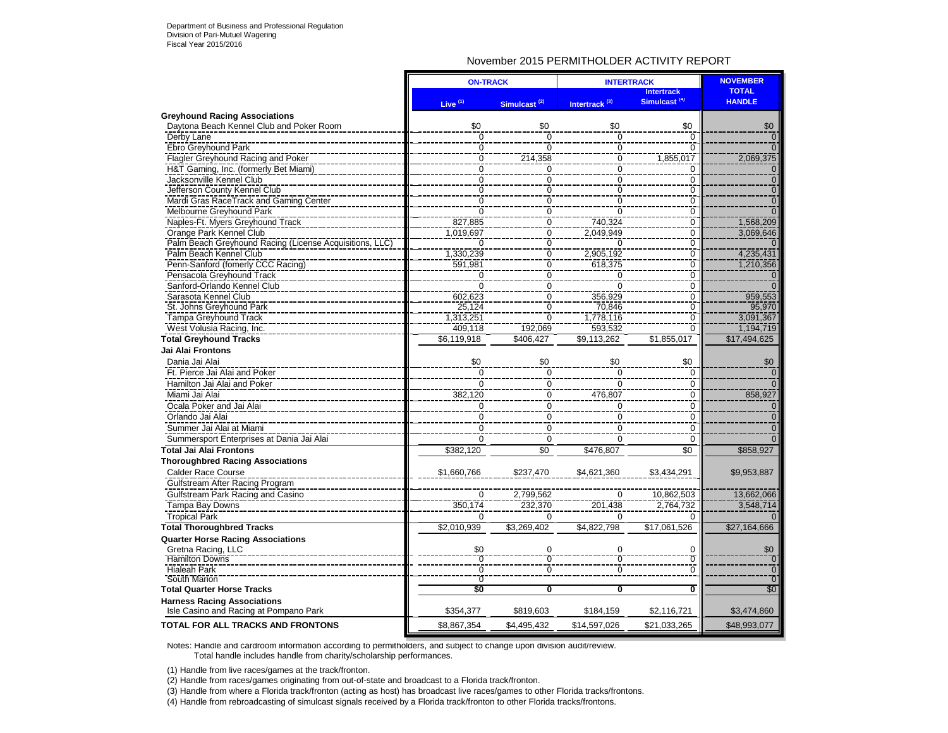### November 2015 PERMITHOLDER ACTIVITY REPORT

|                                                         | <b>ON-TRACK</b>     |                          | <b>INTERTRACK</b>         |                                               | <b>NOVEMBER</b>               |
|---------------------------------------------------------|---------------------|--------------------------|---------------------------|-----------------------------------------------|-------------------------------|
|                                                         | Live <sup>(1)</sup> | Simulcast <sup>(2)</sup> | Intertrack <sup>(3)</sup> | <b>Intertrack</b><br>Simulcast <sup>(4)</sup> | <b>TOTAL</b><br><b>HANDLE</b> |
| <b>Greyhound Racing Associations</b>                    |                     |                          |                           |                                               |                               |
| Daytona Beach Kennel Club and Poker Room                | \$0                 | \$0                      | \$0                       | \$0                                           | \$0                           |
| Derby Lane                                              | $\overline{0}$      | $\Omega$                 | $\Omega$                  | $\Omega$                                      | $\overline{0}$                |
| Ebro Greyhound Park                                     | $\frac{1}{0}$       | ō                        | $\overline{0}$            | $\overline{0}$                                | $\overline{0}$                |
| Flagler Greyhound Racing and Poker                      | $\mathbf 0$         | 214,358                  | $\mathbf 0$               | 1,855,017                                     | 2,069,375                     |
| H&T Gaming, Inc. (formerly Bet Miami)                   | $\overline{0}$      | 0                        | $\Omega$                  | $\Omega$                                      | $\Omega$                      |
| Jacksonville Kennel Club                                | $\overline{0}$      | $\overline{0}$           | $\overline{0}$            | $\overline{0}$                                | $\overline{0}$                |
| Jefferson County Kennel Club                            | 0                   | 0                        | 0                         | $\mathbf 0$                                   | $\overline{0}$                |
| Mardi Gras RaceTrack and Gaming Center                  | $\overline{0}$      | $\overline{0}$           | $\overline{0}$            | $\overline{0}$                                | $\overline{0}$                |
| Melbourne Greyhound Park                                | $\overline{0}$      | $\overline{0}$           | $\overline{0}$            | $\overline{0}$                                | $\overline{0}$                |
| Naples-Ft. Myers Greyhound Track                        | 827,885             | 0                        | 740,324                   | $\overline{0}$                                | 1,568,209                     |
| Orange Park Kennel Club                                 | 1.019.697           | $\overline{0}$           | 2.049.949                 | $\overline{0}$                                | 3,069,646                     |
| Palm Beach Greyhound Racing (License Acquisitions, LLC) | $\Omega$            | 0                        | 0                         | $\overline{0}$                                |                               |
| Palm Beach Kennel Club                                  | 1,330,239           | $\overline{0}$           | 2,905,192                 | $\overline{0}$                                | 4,235,431                     |
| Penn-Sanford (fomerly CCC Racing)                       | 591,981             | $\overline{0}$           | 618,375                   | $\overline{0}$                                | 1,210,356                     |
| Pensacola Greyhound Track                               | $\mathbf 0$         | $\overline{0}$           | 0                         | $\overline{0}$                                | $\Omega$                      |
| Sanford-Orlando Kennel Club                             | $\overline{0}$      | 0                        | $\Omega$                  | $\overline{0}$                                | $\Omega$                      |
| Sarasota Kennel Club                                    | 602,623             | $\overline{0}$           | 356,929                   | $\overline{0}$                                | 959,553                       |
| St. Johns Greyhound Park                                | 25,124              | $\overline{0}$           | 70,846                    | $\overline{0}$                                | 95,970                        |
| <b>Tampa Greyhound Track</b>                            | 1,313,251           | $\overline{0}$           | 1,778,116                 | $\overline{0}$                                | 3,091,367                     |
| West Volusia Racing, Inc.                               | 409.118             | 192.069                  | 593,532                   | $\overline{0}$                                | 1,194,719                     |
| <b>Total Greyhound Tracks</b>                           | \$6,119,918         | \$406,427                | \$9,113,262               | \$1,855,017                                   | \$17,494,625                  |
| Jai Alai Frontons                                       |                     |                          |                           |                                               |                               |
| Dania Jai Alai                                          | \$0                 | \$0                      | \$0                       | \$0                                           | \$0                           |
| Ft. Pierce Jai Alai and Poker                           | $\Omega$            | $\mathbf 0$              | $\Omega$                  | $\Omega$                                      | $\Omega$                      |
| Hamilton Jai Alai and Poker                             | $\overline{0}$      | $\overline{0}$           | $\Omega$                  | $\overline{0}$                                | $\Omega$                      |
| Miami Jai Alai                                          | 382,120             | $\Omega$                 | 476,807                   | $\mathbf 0$                                   | 858,927                       |
| Ocala Poker and Jai Alai                                | $\mathbf 0$         | 0                        | $\mathbf 0$               | $\mathbf 0$                                   | $\overline{0}$                |
| Orlando Jai Alai                                        | $\pmb{0}$           | $\mathsf 0$              | $\mathsf 0$               | $\overline{0}$                                | $\overline{0}$                |
|                                                         |                     |                          |                           |                                               | $\overline{0}$                |
| Summer Jai Alai at Miami                                | $\mathbf 0$         | 0                        | $\mathbf 0$               | $\mathbf 0$                                   |                               |
| Summersport Enterprises at Dania Jai Alai               | $\Omega$            | $\mathbf 0$              | $\Omega$                  | $\Omega$                                      | $\Omega$                      |
| <b>Total Jai Alai Frontons</b>                          | \$382,120           | $\overline{50}$          | \$476,807                 | \$0                                           | \$858,927                     |
| <b>Thoroughbred Racing Associations</b>                 |                     |                          |                           |                                               |                               |
| <b>Calder Race Course</b>                               | \$1,660,766         | \$237,470                | \$4,621,360               | \$3,434,291                                   | \$9,953,887                   |
| Gulfstream After Racing Program                         |                     |                          |                           |                                               |                               |
| Gulfstream Park Racing and Casino                       | $\mathbf 0$         | 2,799,562                | $\mathbf 0$               | 10,862,503                                    | 13,662,066                    |
| Tampa Bay Downs                                         | 350, 174            | 232,370                  | 201,438                   | 2,764,732                                     | 3,548,714                     |
| <b>Tropical Park</b>                                    | $\Omega$            | $\Omega$                 | $\Omega$                  | $\Omega$                                      |                               |
| <b>Total Thoroughbred Tracks</b>                        | \$2,010,939         | \$3,269,402              | \$4,822,798               | \$17,061,526                                  | \$27,164,666                  |
| <b>Quarter Horse Racing Associations</b>                |                     |                          |                           |                                               |                               |
| Gretna Racing, LLC                                      | \$0                 | 0                        | $\mathbf 0$               | $\mathbf 0$                                   | \$0                           |
| <b>Hamilton Downs</b>                                   | $\mathbf 0$         | ō                        | ō                         | $\overline{0}$                                | $\overline{0}$                |
| <b>Hialeah Park</b>                                     | $\frac{8}{0}$       | $\overline{0}$           | $\frac{8}{0}$             | $\overline{0}$                                | $\overline{0}$                |
| South Marion                                            | $\overline{0}$      |                          |                           |                                               | $\overline{0}$                |
| <b>Total Quarter Horse Tracks</b>                       | \$0                 | Ō                        | $\overline{\mathbf{0}}$   | O                                             | \$0 <sub>1</sub>              |
| <b>Harness Racing Associations</b>                      |                     |                          |                           |                                               |                               |
| Isle Casino and Racing at Pompano Park                  | \$354,377           | \$819,603                | \$184,159                 | \$2,116,721                                   | \$3,474,860                   |
| <b>TOTAL FOR ALL TRACKS AND FRONTONS</b>                | \$8,867,354         | \$4,495,432              | \$14,597,026              | \$21,033,265                                  | \$48,993,077                  |

Notes: Handle and cardroom information according to permitholders, and subject to change upon division audit/review. Total handle includes handle from charity/scholarship performances.

(1) Handle from live races/games at the track/fronton.

(2) Handle from races/games originating from out-of-state and broadcast to a Florida track/fronton.

(3) Handle from where a Florida track/fronton (acting as host) has broadcast live races/games to other Florida tracks/frontons.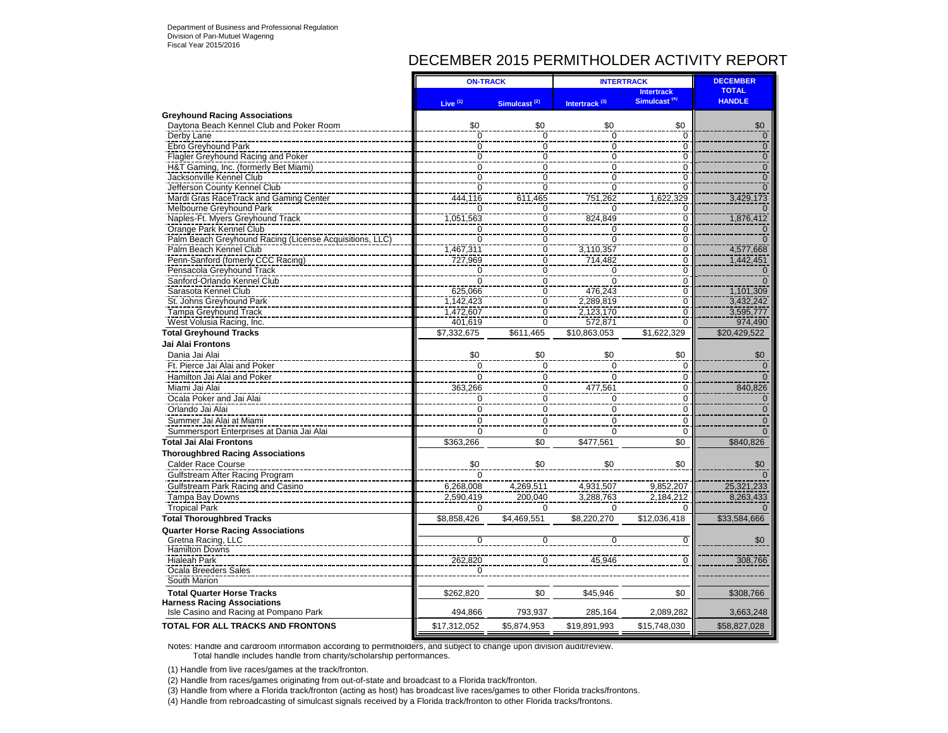## DECEMBER 2015 PERMITHOLDER ACTIVITY REPORT

|                                                         | <b>ON-TRACK</b>     |                          | <b>INTERTRACK</b>         | <b>DECEMBER</b>                               |                               |
|---------------------------------------------------------|---------------------|--------------------------|---------------------------|-----------------------------------------------|-------------------------------|
|                                                         | Live $(1)$          | Simulcast <sup>(2)</sup> | Intertrack <sup>(3)</sup> | <b>Intertrack</b><br>Simulcast <sup>(4)</sup> | <b>TOTAL</b><br><b>HANDLE</b> |
| <b>Greyhound Racing Associations</b>                    |                     |                          |                           |                                               |                               |
| Daytona Beach Kennel Club and Poker Room                | \$0                 | \$0                      | \$0                       | \$0                                           | \$0                           |
| Derby Lane                                              | $\overline{0}$      | $\overline{0}$           | $\overline{0}$            | $\overline{0}$                                | $\Omega$                      |
| Ebro Greyhound Park                                     | $\overline{0}$      | $\overline{0}$           | $\overline{0}$            | $\frac{8}{0}$                                 | $\mathbf{0}$                  |
| Flagler Greyhound Racing and Poker                      | $\overline{0}$      | $\overline{0}$           | $\overline{0}$            | $\overline{0}$                                | $\overline{0}$                |
| H&T Gaming, Inc. (formerly Bet Miami)                   | $\overline{0}$      | $\overline{0}$           | $\overline{0}$            | $\overline{0}$                                | $\overline{0}$                |
| Jacksonville Kennel Club                                | $\overline{0}$      | $\overline{0}$           | $\overline{0}$            | $\overline{0}$                                | $\overline{0}$                |
| Jefferson County Kennel Club                            | $\overline{0}$      | $\overline{0}$           | $\overline{0}$            | $\frac{8}{0}$                                 |                               |
| Mardi Gras RaceTrack and Gaming Center                  | 444.116             | 611,465                  | 751,262                   | 1,622,329                                     | 3,429,173                     |
| Melbourne Greyhound Park                                | 0                   | 0                        | 0                         | $\overline{0}$                                |                               |
| Naples-Ft. Myers Greyhound Track                        | 1,051,563           | $\overline{0}$           | 824,849                   | $\overline{0}$                                | 1,876,412                     |
| Orange Park Kennel Club                                 | $\overline{0}$      | $\overline{0}$           | $\overline{0}$            | $\dot{0}$                                     | $\Omega$                      |
| Palm Beach Greyhound Racing (License Acquisitions, LLC) | $\overline{0}$      | $\overline{0}$           | $\overline{0}$            | $\overline{0}$                                |                               |
| Palm Beach Kennel Club                                  | 1,467,311           | $\overline{0}$           | 3,110,357                 | $\overline{0}$                                | 4,577,668                     |
| Penn-Sanford (fomerly CCC Racing)                       | 727,969             | $\overline{0}$           | 714,482                   | $\frac{0}{0}$                                 | 1,442,451                     |
| Pensacola Greyhound Track                               | $\overline{0}$      | $\overline{0}$           | Ō                         |                                               |                               |
| Sanford-Orlando Kennel Club                             | $\overline{0}$      | $\overline{0}$           | $\Omega$                  | $\overline{0}$                                | $\Omega$                      |
| Sarasota Kennel Club                                    | 625,066             | $\overline{0}$           | 476,243                   | $\overline{0}$                                | 1,101,309                     |
| St. Johns Greyhound Park                                | 1,142,423           |                          | 2,289,819                 | $\overline{0}$                                | 3,432,242                     |
| Tampa Greyhound Track                                   | 1,472,607           | $\frac{0}{0}$            | 2,123,170                 | $\overline{0}$                                | 3,595,777                     |
| West Volusia Racing, Inc.                               | 401,619             | $\overline{0}$           | 572.871                   | $\overline{0}$                                | 974,490                       |
| <b>Total Grevhound Tracks</b>                           | \$7.332.675         | \$611.465                | \$10.863.053              | \$1.622.329                                   | \$20,429,522                  |
| <b>Jai Alai Frontons</b>                                |                     |                          |                           |                                               |                               |
| Dania Jai Alai                                          | \$0                 |                          | \$0                       | \$0                                           | \$0                           |
|                                                         |                     | \$0                      |                           |                                               | $\Omega$                      |
| Ft. Pierce Jai Alai and Poker                           | 0<br>$\overline{0}$ | 0                        | 0                         | 0<br>$\overline{0}$                           |                               |
| Hamilton Jai Alai and Poker                             |                     | $\overline{0}$           | $\mathbf 0$               |                                               |                               |
| Miami Jai Alai                                          | 363,266             | $\mathbf 0$              | 477,561                   | $\frac{0}{0}$                                 | 840,826                       |
| Ocala Poker and Jai Alai                                | $\frac{0}{0}$       | $\overline{0}$           | $\mathbf 0$               |                                               | $\mathbf{0}$                  |
| Orlando Jai Alai                                        |                     | $\overline{0}$           | $\overline{0}$            | $\frac{0}{0}$                                 | $\mathbf 0$                   |
| Summer Jai Alai at Miami                                | $\mathbf 0$         | $\mathbf 0$              | $\mathbf 0$               | $\mathbf 0$                                   | $\Omega$                      |
| Summersport Enterprises at Dania Jai Alai               | $\mathbf 0$         | $\mathbf 0$              | $\mathbf 0$               | $\mathbf 0$                                   | $\Omega$                      |
| <b>Total Jai Alai Frontons</b>                          | \$363,266           | \$0                      | \$477,561                 | $\overline{50}$                               | \$840,826                     |
| <b>Thoroughbred Racing Associations</b>                 |                     |                          |                           |                                               |                               |
| <b>Calder Race Course</b>                               | \$0                 | \$0                      | \$0                       | \$0                                           | \$0                           |
| Gulfstream After Racing Program                         | $\Omega$            |                          |                           |                                               |                               |
| Gulfstream Park Racing and Casino                       | 6,268,008           | 4,269,511                | 4,931,507                 | 9,852,207                                     | 25,321,233                    |
| Tampa Bay Downs                                         | 2,590,419           | 200.040                  | 3,288,763                 | 2,184,212                                     | 8,263,433                     |
| <b>Tropical Park</b>                                    | $\Omega$            | $\Omega$                 | $\Omega$                  | $\Omega$                                      |                               |
|                                                         |                     |                          |                           |                                               |                               |
| <b>Total Thoroughbred Tracks</b>                        | \$8,858,426         | \$4,469,551              | \$8,220,270               | \$12,036,418                                  | \$33,584,666                  |
| <b>Quarter Horse Racing Associations</b>                |                     |                          |                           |                                               |                               |
| Gretna Racing, LLC                                      | $\Omega$            | $\Omega$                 | 0                         | 0                                             | \$0                           |
| Hamilton Downs                                          |                     |                          |                           |                                               |                               |
| <b>Hialeah Park</b>                                     | 262,820             |                          | 45,946                    | $\Omega$                                      | 308,766                       |
| Ocala Breeders Sales                                    | $\mathbf 0$         |                          |                           |                                               |                               |
| South Marion                                            |                     |                          |                           |                                               |                               |
| <b>Total Quarter Horse Tracks</b>                       | \$262,820           | \$0                      | \$45,946                  | \$0                                           | \$308,766                     |
| <b>Harness Racing Associations</b>                      |                     |                          |                           |                                               |                               |
| Isle Casino and Racing at Pompano Park                  | 494,866             | 793,937                  | 285,164                   | 2,089,282                                     | 3,663,248                     |
| <b>TOTAL FOR ALL TRACKS AND FRONTONS</b>                | \$17,312,052        | \$5,874,953              | \$19,891,993              | \$15,748,030                                  | \$58,827,028                  |

Notes: Handle and cardroom information according to permitholders, and subject to change upon division audit/review. Total handle includes handle from charity/scholarship performances.

(1) Handle from live races/games at the track/fronton.

(2) Handle from races/games originating from out-of-state and broadcast to a Florida track/fronton.

(3) Handle from where a Florida track/fronton (acting as host) has broadcast live races/games to other Florida tracks/frontons.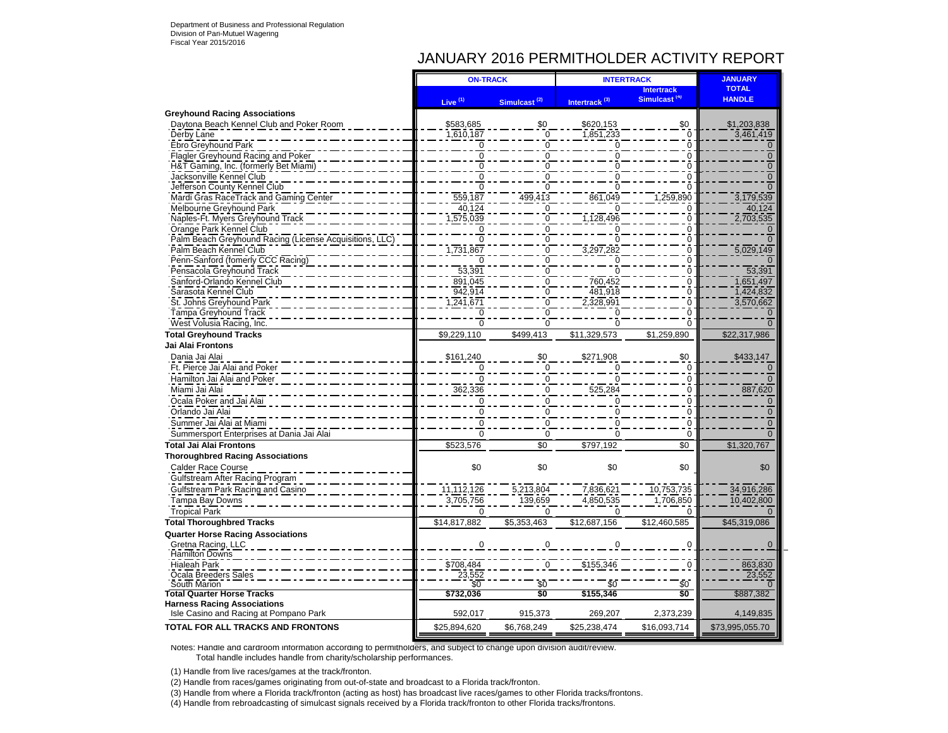### JANUARY 2016 PERMITHOLDER ACTIVITY REPORT

|                                                         | <b>ON-TRACK</b>              |                          | <b>INTERTRACK</b>         | <b>JANUARY</b>                                |                               |
|---------------------------------------------------------|------------------------------|--------------------------|---------------------------|-----------------------------------------------|-------------------------------|
|                                                         | Live <sup>(1)</sup>          | Simulcast <sup>(2)</sup> | Intertrack <sup>(3)</sup> | <b>Intertrack</b><br>Simulcast <sup>(4)</sup> | <b>TOTAL</b><br><b>HANDLE</b> |
| <b>Greyhound Racing Associations</b>                    |                              |                          |                           |                                               |                               |
| Daytona Beach Kennel Club and Poker Room                | \$583,685                    | \$0                      | \$620,153                 | \$0                                           | \$1,203,838                   |
| Derby Lane                                              | 1,610,187                    | $\overline{0}$           | 1,851,233                 | $\overline{0}$                                | 3,461,419                     |
| Ebro Greyhound Park                                     |                              | $\Omega$                 |                           | $\mathbf 0$                                   |                               |
| Flagler Greyhound Racing and Poker                      | $\mathbf 0$                  | 0                        |                           | $\overline{0}$                                | $\mathbf 0$                   |
| H&T Gaming, Inc. (formerly Bet Miami)                   |                              | 0                        |                           | ō                                             | $\Omega$                      |
| Jacksonville Kennel Club                                | $\Omega$                     | $\Omega$                 |                           | ō                                             | $\Omega$                      |
| Jefferson County Kennel Club                            |                              | ŋ                        |                           | O                                             |                               |
| Mardi Gras RaceTrack and Gaming Center                  | 559,187                      | 499.413                  | 861.049                   | 1,259,890                                     | 3,179,539                     |
| Melbourne Greyhound Park                                | 40,124                       | $\Omega$                 |                           | 0                                             | 40,124                        |
| Naples-Ft. Myers Greyhound Track                        | 1,575,039                    | $\Omega$                 | 1,128,496                 | $\Omega$                                      | 2,703,535                     |
| Orange Park Kennel Club                                 |                              | $\mathbf 0$              |                           | $\overline{0}$                                |                               |
| Palm Beach Greyhound Racing (License Acquisitions, LLC) | $\overline{0}$               | $\Omega$                 |                           | ō                                             |                               |
| Palm Beach Kennel Club                                  | ,731,867                     | $\Omega$                 | 3,297,282                 | $\Omega$                                      | 5,029,149                     |
| Penn-Sanford (fomerly CCC Racing)                       |                              | 0                        |                           | $\Omega$                                      |                               |
| Pensacola Greyhound Track                               | 53,391                       | $\Omega$                 |                           | ō                                             | 53,391                        |
| Sanford-Orlando Kennel Club                             | 891,045                      | $\mathbf 0$              | 760,452                   | $\overline{0}$                                | 1,651,497                     |
| Sarasota Kennel Club                                    | 942,914                      | $\Omega$                 | 481,918                   | $\overline{0}$                                | 1,424,832                     |
| St. Johns Greyhound Park                                | 1,241,671                    | $\Omega$                 | 2,328,991                 | $\overline{0}$                                | 3,570,662                     |
| Tampa Greyhound Track                                   |                              | $\Omega$                 |                           | ō                                             |                               |
| West Volusia Racing, Inc.                               | $\overline{0}$               | $\overline{0}$           | ō                         | $\overline{0}$                                |                               |
| <b>Total Greyhound Tracks</b>                           | \$9,229,110                  | $\sqrt{499,413}$         | \$11,329,573              | \$1,259,890                                   | \$22,317,986                  |
| Jai Alai Frontons                                       |                              |                          |                           |                                               |                               |
| Dania Jai Alai                                          | \$161,240                    | \$0                      | \$271,908                 | \$0                                           | \$433,147                     |
| Ft. Pierce Jai Alai and Poker                           | $\mathbf 0$                  | $\mathbf 0$              |                           | $\mathbf 0$                                   |                               |
| Hamilton Jai Alai and Poker                             | $\Omega$                     | $\Omega$                 | $\Omega$                  | $\Omega$                                      | $\Omega$                      |
| Miami Jai Alai                                          | 362,336                      | $\Omega$                 | 525,284                   | $\mathbf 0$                                   | 887,620                       |
| Ocala Poker and Jai Alai                                | $\mathbf 0$                  | $\Omega$                 | $\Omega$                  | $\overline{0}$                                | $\mathbf{0}$                  |
| Orlando Jai Alai                                        | $\mathbf 0$                  | $\mathbf 0$              | $\boldsymbol{0}$          | $\mathbf 0$                                   | $\overline{0}$                |
| Summer Jai Alai at Miami                                | $\overline{0}$               | $\Omega$                 |                           | $\Omega$                                      | $\Omega$                      |
| Summersport Enterprises at Dania Jai Alai               | $\Omega$                     | $\Omega$                 | $\Omega$                  | $\Omega$                                      | $\Omega$                      |
| <b>Total Jai Alai Frontons</b>                          | \$523,576                    | \$0                      | \$797,192                 | \$0                                           | \$1,320,767                   |
| <b>Thoroughbred Racing Associations</b>                 |                              |                          |                           |                                               |                               |
| Calder Race Course                                      | \$0                          | \$0                      | \$0                       | \$0                                           | \$0                           |
|                                                         |                              |                          |                           |                                               |                               |
| Gulfstream After Racing Program                         | 11,112,126                   | 5,213,804                |                           | 10,753,735                                    | 34,916,286                    |
| Gulfstream Park Racing and Casino                       |                              |                          | 7,836,621                 |                                               |                               |
| Tampa Bay Downs                                         | 3,705,756                    | 139,659                  | 4,850,535                 | 1,706,850                                     | 10,402,800                    |
| <b>Tropical Park</b>                                    | $\Omega$                     | $\Omega$                 | $\Omega$                  | $\Omega$                                      |                               |
| <b>Total Thoroughbred Tracks</b>                        | \$14,817,882                 | \$5,353,463              | \$12,687,156              | \$12,460,585                                  | \$45,319,086                  |
| <b>Quarter Horse Racing Associations</b>                |                              |                          |                           |                                               |                               |
| Gretna Racing, LLC                                      | $\Omega$                     | $\Omega$                 | $\Omega$                  | $\Omega$                                      | $\mathbf 0$                   |
| <b>Hamilton Downs</b>                                   |                              |                          |                           |                                               |                               |
| <b>Hialeah Park</b>                                     | \$708,484<br>23,552          |                          | \$155,346                 |                                               | 863,830<br>23,552             |
| Ocala Breeders Sales<br>South Marion                    |                              |                          | \$0                       | \$0                                           |                               |
| <b>Total Quarter Horse Tracks</b>                       | $\overline{50}$<br>\$732,036 | \$0<br>\$0               | \$155,346                 | \$O                                           | \$887,382                     |
| <b>Harness Racing Associations</b>                      |                              |                          |                           |                                               |                               |
| Isle Casino and Racing at Pompano Park                  | 592,017                      | 915,373                  | 269,207                   | 2,373,239                                     | 4,149,835                     |
| <b>TOTAL FOR ALL TRACKS AND FRONTONS</b>                |                              |                          |                           |                                               |                               |
|                                                         | \$25,894,620                 | \$6,768,249              | \$25,238,474              | \$16,093,714                                  | \$73,995,055.70               |

Notes: Handle and cardroom information according to permitholders, and subject to change upon division audit/review. Total handle includes handle from charity/scholarship performances.

(1) Handle from live races/games at the track/fronton.

(2) Handle from races/games originating from out-of-state and broadcast to a Florida track/fronton.

(3) Handle from where a Florida track/fronton (acting as host) has broadcast live races/games to other Florida tracks/frontons.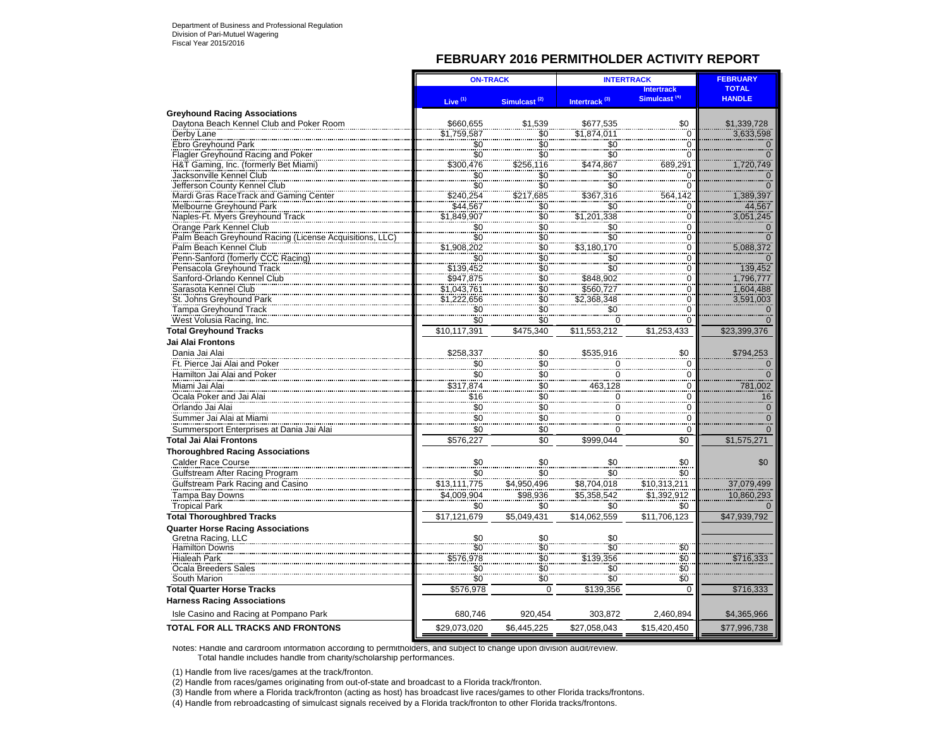### **FEBRUARY 2016 PERMITHOLDER ACTIVITY REPORT**

|                                                         | <b>ON-TRACK</b>               |                                                    | <b>INTERTRACK</b>                | <b>FEBRUARY</b>          |                |
|---------------------------------------------------------|-------------------------------|----------------------------------------------------|----------------------------------|--------------------------|----------------|
|                                                         |                               |                                                    |                                  | <b>Intertrack</b>        | <b>TOTAL</b>   |
|                                                         | Live <sup>(1)</sup>           | Simulcast <sup>(2)</sup>                           | Intertrack <sup>(3)</sup>        | Simulcast <sup>(4)</sup> | <b>HANDLE</b>  |
| <b>Greyhound Racing Associations</b>                    |                               |                                                    |                                  |                          |                |
| Daytona Beach Kennel Club and Poker Room                | \$660,655                     | \$1,539                                            | \$677,535                        | \$0                      | \$1,339,728    |
| Derby Lane                                              | \$1,759,587                   | \$0                                                | \$1,874,011                      | $\mathbf 0$              | 3,633,598      |
| Ebro Greyhound Park                                     |                               |                                                    | \$0                              | 0                        | $\mathbf 0$    |
| <b>Flagler Greyhound Racing and Poker</b>               |                               |                                                    |                                  | $\Omega$                 | $\overline{O}$ |
| H&T Gaming, Inc. (formerly Bet Miami)                   |                               |                                                    |                                  | 689,291                  | 1,720,749      |
| Jacksonville Kennel Club                                | $$^{6}_{80}$                  | $$0$<br>$$0$                                       | $$0$<br>$$0$                     | $\Omega$                 | $\frac{0}{0}$  |
| Jefferson County Kennel Club                            |                               |                                                    |                                  | 0                        |                |
| Mardi Gras RaceTrack and Gaming Center                  | \$240,254                     | \$217,685                                          | \$367,316                        | 564,142                  | 1,389,397      |
| Melbourne Greyhound Park                                | \$44,567                      | $\overline{\$0}$                                   | \$0                              | 0                        | 44,567         |
| Naples-Ft. Myers Greyhound Track                        | \$1,849,907                   | $\frac{80}{90}$                                    | \$1,201,338                      | $\Omega$                 | 3.051.245      |
| Orange Park Kennel Club                                 | \$0                           | $\overline{\$0}$                                   | \$0                              | 0                        | $\frac{0}{0}$  |
| Palm Beach Greyhound Racing (License Acquisitions, LLC) | $\frac{80}{1}$<br>\$1,908,202 | $\frac{80}{30}$                                    | $\frac{1}{\$0}$<br>$\$3,180,170$ | $\mathbf 0$              |                |
| Palm Beach Kennel Club                                  |                               |                                                    |                                  | $\frac{0}{0}$            | 5,088,372      |
| Penn-Sanford (fomerly CCC Racing)                       | \$0                           |                                                    | $\frac{$0}{$0}$                  | $\Omega$                 | $\Omega$       |
| Pensacola Greyhound Track                               | \$139,452                     | $\frac{1}{30}$<br>$\frac{1}{30}$<br>$\frac{1}{30}$ |                                  | $\overline{0}$           | 139,452        |
| Sanford-Orlando Kennel Club                             | \$947,875                     |                                                    | \$848,902                        | 0                        | 1,796,777      |
| Sarasota Kennel Club                                    |                               |                                                    | \$560,727                        | $\Omega$                 | 1,604,488      |
| St. Johns Greyhound Park                                | \$1,043,761<br>\$1,222,656    | $\frac{50}{50}$                                    | \$2,368,348                      | 0                        | 3,591,003      |
| Tampa Greyhound Track                                   | \$0                           |                                                    | \$0                              | $\Omega$                 | $\Omega$       |
| West Volusia Racing, Inc.                               | \$0                           | $\overline{\overline{50}}$                         | 0                                | $\mathbf 0$              | $\Omega$       |
| <b>Total Greyhound Tracks</b>                           | \$10,117,391                  | \$475,340                                          | \$11,553,212                     | \$1,253,433              | \$23,399,376   |
| Jai Alai Frontons                                       |                               |                                                    |                                  |                          |                |
| Dania Jai Alai                                          | \$258,337                     |                                                    | \$535.916                        | \$0                      | \$794,253      |
| Ft. Pierce Jai Alai and Poker                           | $\overline{50}$               | \$0<br>\$0                                         | 0                                | $\mathbf 0$              | $\mathbf 0$    |
| Hamilton Jai Alai and Poker                             | \$0                           | $\frac{40}{90}$                                    | $\overline{0}$                   | 0                        | $\overline{0}$ |
| Miami Jai Alai                                          | \$317,874                     |                                                    | 463,128                          | 0                        | 781,002        |
| Ocala Poker and Jai Alai                                | \$16                          | $\frac{$0}{$0}{$0}{$0 $0 $0 $0 $0 $$               | 0                                | $\Omega$                 | 16             |
|                                                         |                               |                                                    |                                  |                          |                |
| Orlando Jai Alai                                        | \$0<br>\$0                    |                                                    | 0<br>$\frac{8}{0}$               | $\Omega$                 | $\frac{0}{1}$  |
| Summer Jai Alai at Miami                                |                               |                                                    |                                  | $\mathbf 0$              | $\mathbf{0}$   |
| Summersport Enterprises at Dania Jai Alai               | \$0                           |                                                    | $\Omega$                         | $\mathbf 0$              | $\Omega$       |
| Total Jai Alai Frontons                                 | \$576,227                     | \$0                                                | \$999,044                        | \$0                      | \$1,575,271    |
| <b>Thoroughbred Racing Associations</b>                 |                               |                                                    |                                  |                          |                |
| <b>Calder Race Course</b>                               | \$0                           | \$0                                                | \$0                              | \$0                      | \$0            |
| Gulfstream After Racing Program                         | \$0                           | \$0                                                | \$0                              | \$0                      |                |
| Gulfstream Park Racing and Casino                       | \$13,111,775                  | \$4,950,496                                        | \$8,704,018                      | \$10,313,211             | 37,079,499     |
| Tampa Bay Downs                                         | \$4,009,904                   | \$98,936                                           | \$5,358,542                      | \$1,392,912              | 10,860,293     |
| <b>Tropical Park</b>                                    | \$0                           | \$0                                                | \$0                              | \$0                      |                |
| <b>Total Thoroughbred Tracks</b>                        | \$17,121,679                  | \$5,049,431                                        | \$14,062,559                     | \$11,706,123             | \$47,939,792   |
| <b>Quarter Horse Racing Associations</b>                |                               |                                                    |                                  |                          |                |
| Gretna Racing, LLC                                      | \$0                           | \$0                                                | \$0                              |                          |                |
| Hamilton Downs                                          | $\overline{\$0}$              | $\ddot{\$0}$                                       | $\ddot{\$0}$                     | \$0                      |                |
| Hialeah Park                                            | \$576,978                     | $\overline{\$0}$                                   | \$139,356                        | $\overline{\$0}$         | \$716,333      |
| Ocala Breeders Sales                                    | \$0                           | $\frac{80}{90}$                                    | $\overline{30}$                  | $\overline{\$0}$         |                |
| South Marion                                            | $\overline{\$0}$              | $\overline{\overline{\overline{50}}}$              | $\overline{\$0}$                 | \$0                      |                |
| <b>Total Quarter Horse Tracks</b>                       | \$576,978                     | $\mathbf 0$                                        | \$139,356                        | $\mathbf 0$              | \$716,333      |
| <b>Harness Racing Associations</b>                      |                               |                                                    |                                  |                          |                |
| Isle Casino and Racing at Pompano Park                  | 680,746                       | 920,454                                            | 303,872                          | 2,460,894                | \$4,365,966    |
| <b>TOTAL FOR ALL TRACKS AND FRONTONS</b>                | \$29,073,020                  | \$6,445,225                                        | \$27,058,043                     | \$15,420,450             | \$77,996,738   |
|                                                         |                               |                                                    |                                  |                          |                |

Notes: Handle and cardroom information according to permitholders, and subject to change upon division audit/review. Total handle includes handle from charity/scholarship performances.

(1) Handle from live races/games at the track/fronton.

(2) Handle from races/games originating from out-of-state and broadcast to a Florida track/fronton.

(3) Handle from where a Florida track/fronton (acting as host) has broadcast live races/games to other Florida tracks/frontons.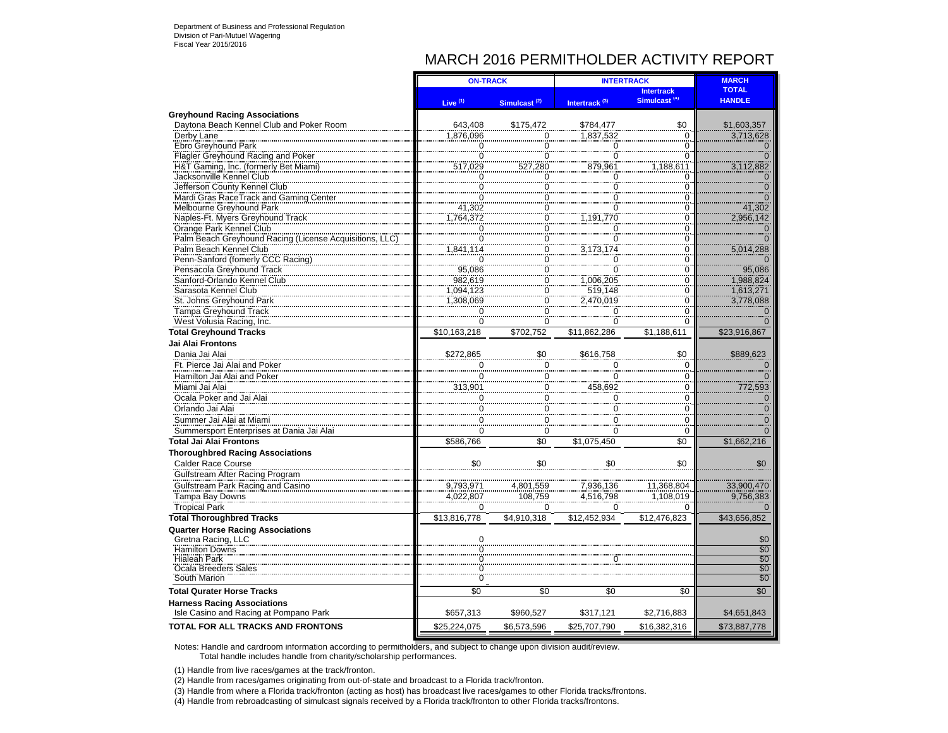## MARCH 2016 PERMITHOLDER ACTIVITY REPORT

|                                                                              | <b>ON-TRACK</b>           |                           | <b>INTERTRACK</b>         |                          | <b>MARCH</b>    |
|------------------------------------------------------------------------------|---------------------------|---------------------------|---------------------------|--------------------------|-----------------|
|                                                                              |                           |                           |                           | <b>Intertrack</b>        | <b>TOTAL</b>    |
|                                                                              | Live <sup>(1)</sup>       | Simulcast <sup>(2)</sup>  | Intertrack <sup>(3)</sup> | Simulcast <sup>(4)</sup> | <b>HANDLE</b>   |
| <b>Greyhound Racing Associations</b>                                         |                           |                           |                           |                          |                 |
| Daytona Beach Kennel Club and Poker Room                                     | 643,408                   | \$175,472                 | \$784,477                 | \$0                      | \$1,603,357     |
| Derby Lane                                                                   | 1,876,096                 | 0                         | 1.837.532                 | $\mathbf 0$              | 3,713,628       |
| Ebro Greyhound Park                                                          | 0                         | $\overline{0}$            | 0                         | 0                        |                 |
| Flagler Greyhound Racing and Poker                                           | $\overline{0}$            | $\overline{0}$            | $\check{0}$               | $\overline{0}$           |                 |
| H&T Gaming, Inc. (formerly Bet Miami)                                        | 517,029                   | 527,280                   | 879,961                   | 1,188,611                | 3,112,882       |
| Jacksonville Kennel Club                                                     | $\overline{\overline{0}}$ | $\overline{0}$            | 0                         | 0                        |                 |
| Jefferson County Kennel Club                                                 | $\Omega$                  | $\mathbf 0$               | 0                         | 0                        |                 |
| Mardi Gras RaceTrack and Gaming Center                                       | $\ddot{\rm{o}}$           | $\overline{\overline{0}}$ | $\check{0}$               | $\overline{0}$           |                 |
| Melbourne Greyhound Park                                                     |                           | $\frac{0}{0}$             | $\overline{0}$            | $\Omega$                 | 41,302          |
| Naples-Ft. Myers Greyhound Track                                             | 41,302<br>764,372,        |                           | 1,191,770                 | $\overline{0}$           | 2,956,142       |
| Orange Park Kennel Club                                                      | $\mathbf 0$               |                           |                           | $\Omega$                 |                 |
| Palm Beach Greyhound Racing (License Acquisitions,                           | $\frac{8}{0}$             | $\frac{0}{0}$             | $\frac{0}{0}$             | $\overline{0}$           |                 |
| Palm Beach Kennel Club                                                       | 1,841,114                 | $\mathbf 0$               | 3,173,174                 | $\Omega$                 | 5,014,288       |
| Penn-Sanford (fomerly CCC Racing)                                            | $\mathbf 0$               | $\frac{6}{0}$             | $\mathbf 0$               | $\overline{0}$           |                 |
| Pensacola Greyhound Track                                                    | 95,086                    |                           | $\Omega$                  | $\Omega$                 | 95,086          |
| Sanford-Orlando Kennel Club                                                  | 982,619                   | $\frac{0}{0}$             | 1,006,205                 | $\overline{0}$           | 1,988,824       |
| Sarasota Kennel Club                                                         | 1,094,123                 |                           |                           | $\Omega$                 | 1,613,271       |
|                                                                              | 1,308,069                 | $\frac{0}{0}$             | 519,148                   | $\check{0}$              |                 |
| St. Johns Greyhound Park                                                     |                           |                           | 2,470,019                 |                          | 3,778,088       |
| <b>Tampa Greyhound Track</b>                                                 | $\Omega$                  | $\overline{0}$            | $\overline{0}$            | $\Omega$                 |                 |
| West Volusia Racing, Inc.                                                    | Ö                         | $\overline{0}$            | $\overline{0}$            | $\overline{0}$           |                 |
| <b>Total Greyhound Tracks</b>                                                | \$10,163,218              | \$702,752                 | \$11,862,286              | \$1,188,611              | \$23,916,867    |
| <b>Jai Alai Frontons</b>                                                     |                           |                           |                           |                          |                 |
| Dania Jai Alai                                                               | \$272,865                 | \$0                       | \$616,758                 | \$0                      | \$889,623       |
| Ft. Pierce Jai Alai and Poker                                                | $\Omega$                  | $\overline{0}$            |                           | 0                        |                 |
| Hamilton Jai Alai and Poker                                                  | $\mathbf 0$               | $\mathbf 0$               | 0                         | 0                        |                 |
| Miami Jai Alai                                                               | 313,901                   | 0                         | 458,692                   | 0                        | 772,593         |
| Ocala Poker and Jai Alai                                                     | $\Omega$                  | 0                         | 0                         | 0                        |                 |
|                                                                              |                           |                           |                           |                          |                 |
| Orlando Jai Alai                                                             | $\Omega$                  | 0                         | 0                         | $\Omega$                 |                 |
| Summer Jai Alai at Miami                                                     |                           | 0                         | 0                         | 0                        |                 |
| Summersport Enterprises at Dania Jai Alai                                    | $\Omega$                  | $\mathbf 0$               | $\Omega$                  | $\Omega$                 |                 |
| <b>Total Jai Alai Frontons</b>                                               | \$586,766                 | \$0                       | \$1,075,450               | \$0                      | \$1,662,216     |
| <b>Thoroughbred Racing Associations</b>                                      |                           |                           |                           |                          |                 |
| <b>Calder Race Course</b>                                                    | \$0                       | \$0                       | \$0                       | \$0                      | \$0             |
| Gulfstream After Racing Program                                              |                           |                           |                           |                          |                 |
| Gulfstream Park Racing and Casino                                            | 9,793,971                 | 4,801,559                 | 7,936,136                 | 11,368,804               | 33,900,470      |
| Tampa Bay Downs                                                              | 4,022,807                 | 108,759                   | 4,516,798                 | 1,108,019                | 9,756,383       |
| <b>Tropical Park</b>                                                         | $\Omega$                  | $\Omega$                  | $\Omega$                  | 0                        |                 |
|                                                                              |                           |                           |                           |                          |                 |
| <b>Total Thoroughbred Tracks</b>                                             | \$13,816,778              | \$4,910,318               | \$12,452,934              | \$12,476,823             | \$43,656,852    |
| <b>Quarter Horse Racing Associations</b>                                     |                           |                           |                           |                          |                 |
| Gretna Racing, LLC                                                           |                           |                           |                           |                          | \$0             |
| Hamilton Downs                                                               | 0                         |                           |                           |                          | $\overline{50}$ |
| <b>Hialeah Park</b>                                                          |                           |                           |                           |                          | $\overline{$}0$ |
| Ocala Breeders Sales                                                         |                           |                           |                           |                          | \$0             |
| South Marion                                                                 | $\dot{0}$                 |                           |                           |                          | \$0             |
| <b>Total Qurater Horse Tracks</b>                                            | $\overline{50}$           | \$0                       | \$0                       | \$0                      | \$0             |
| <b>Harness Racing Associations</b><br>Isle Casino and Racing at Pompano Park | \$657,313                 | \$960,527                 | \$317,121                 | \$2,716,883              | \$4,651,843     |
|                                                                              |                           |                           |                           |                          |                 |
| <b>TOTAL FOR ALL TRACKS AND FRONTONS</b>                                     | \$25,224,075              | \$6,573,596               | \$25,707,790              | \$16,382,316             | \$73,887,778    |

Notes: Handle and cardroom information according to permitholders, and subject to change upon division audit/review. Total handle includes handle from charity/scholarship performances.

(1) Handle from live races/games at the track/fronton.

(2) Handle from races/games originating from out-of-state and broadcast to a Florida track/fronton.

(3) Handle from where a Florida track/fronton (acting as host) has broadcast live races/games to other Florida tracks/frontons.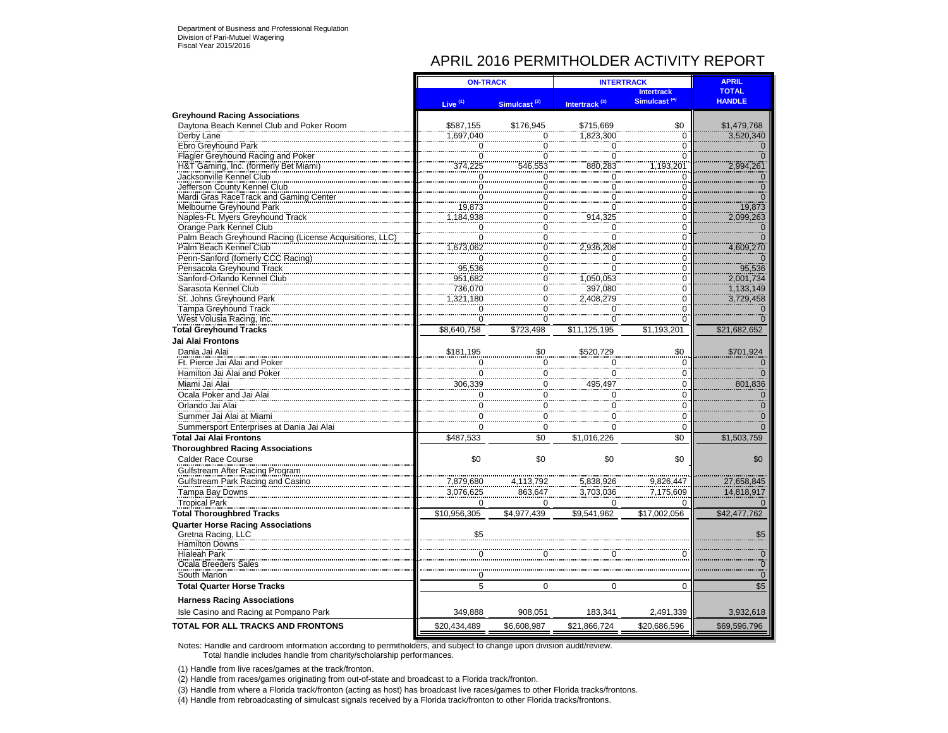# APRIL 2016 PERMITHOLDER ACTIVITY REPORT

|                                                                             | <b>ON-TRACK</b>        |                          | <b>INTERTRACK</b>         |                          | <b>APRIL</b>  |
|-----------------------------------------------------------------------------|------------------------|--------------------------|---------------------------|--------------------------|---------------|
|                                                                             |                        |                          |                           | <b>Intertrack</b>        | <b>TOTAL</b>  |
|                                                                             | Live $(1)$             | Simulcast <sup>(2)</sup> | Intertrack <sup>(3)</sup> | Simulcast <sup>(4)</sup> | <b>HANDLE</b> |
| <b>Greyhound Racing Associations</b>                                        |                        |                          |                           |                          |               |
| Daytona Beach Kennel Club and Poker Room                                    | \$587,155              | \$176,945                | \$715,669                 | \$0                      | \$1,479,768   |
| Derby Lane                                                                  | 1,697,040              | 0                        | 1.823.300                 | 0                        | 3,520,340     |
| Ebro Greyhound Park                                                         | $\Omega$               | $\Omega$                 | 0                         | 0                        |               |
| Flagler Greyhound Racing and Poker<br>H&T Gaming, Inc. (formerly Bet Miami) | $\overline{0}$         | 553                      | $\overline{0}$<br>880.283 | $\overline{0}$           |               |
|                                                                             | 374,225                |                          |                           | 1,193,201                | 2,994,261     |
| Jacksonville Kennel Club                                                    | 0<br>$\Omega$          | 0                        | 0                         | 0<br>$\Omega$            |               |
| Jefferson County Kennel Club<br>Mardi Gras RaceTrack and Gaming Center      | $\check{\overline{0}}$ | $\frac{0}{2}$            | 0<br>$\check{0}$          | $\overline{0}$           |               |
| Melbourne Greyhound Park                                                    | 19,873                 | 0                        | 0                         | 0                        | 19,873        |
| Naples-Ft. Myers Greyhound Track                                            | ,184,938               | 0                        | 914,325                   | 0                        | 2,099,263     |
| Orange Park Kennel Club                                                     | $\overline{0}$         |                          | $\overline{0}$            | $\overline{0}$           |               |
| Palm Beach Greyhound Racing (License Acquisition                            | $\overline{0}$         | $\Omega$                 | $\overline{0}$            | $\overline{0}$           |               |
| Palm Beach Kennel Club                                                      | ,673,062               | 0                        | 2,936,208                 | 0                        | 4,609,270     |
| Penn-Sanford (fomerly CCC Racing)                                           | $\Omega$               | $\Omega$                 | $\Omega$                  | $\Omega$                 |               |
| Pensacola Greyhound Track                                                   | 95,536                 | $\check{0}$              | $\check{\circ}$           | $\overline{0}$           | 95,536        |
| Sanford-Orlando Kennel Club                                                 | 951,682                | $\Omega$                 | 1.050.053                 | $\Omega$                 | 2,001,734     |
| Sarasota Kennel Club                                                        | 736,070                | 0                        | 397,080                   | $\overline{0}$           | 1,133,149     |
| St. Johns Greyhound Park                                                    | 1,321,180              | 0                        | 2,408,279                 | $\Omega$                 | 3,729,458     |
| <b>Tampa Greyhound Track</b>                                                | $\overline{0}$         | $\overline{0}$           | $\Omega$                  | $\overline{0}$           |               |
| West Volusia Racing, Inc.                                                   | 0                      | $\Omega$                 | 0                         | 0                        |               |
| <b>Total Greyhound Tracks</b>                                               | \$8,640,758            | \$723.498                | \$11,125,195              | \$1,193,201              | \$21,682,652  |
| Jai Alai Frontons                                                           |                        |                          |                           |                          |               |
| Dania Jai Alai                                                              | \$181,195              | \$0                      | \$520.729                 | \$0                      | \$701,924     |
| Ft. Pierce Jai Alai and Poker                                               | 0                      | $\mathbf 0$              | 0                         | $\mathbf 0$              |               |
| Hamilton Jai Alai and Poker                                                 | $\overline{0}$         | $\overline{0}$           | 0                         | 0                        |               |
| Miami Jai Alai                                                              | 306,339                | 0                        | 495.497                   | 0                        | 801,836       |
| Ocala Poker and Jai Alai                                                    | 0                      | 0                        | 0                         | 0                        |               |
| Orlando Jai Alai                                                            | $\mathbf 0$            | $\pmb{0}$                | 0                         | 0                        | ∩             |
| Summer Jai Alai at Miami                                                    | $\Omega$               | $\mathbf 0$              | 0                         | 0                        |               |
| Summersport Enterprises at Dania Jai Alai                                   | 0                      | 0                        | 0                         | $\Omega$                 |               |
| <b>Total Jai Alai Frontons</b>                                              | \$487,533              | \$0                      | \$1,016,226               | \$0                      | \$1,503,759   |
| <b>Thoroughbred Racing Associations</b>                                     |                        |                          |                           |                          |               |
| <b>Calder Race Course</b>                                                   | \$0                    | \$0                      | \$0                       | \$0                      | \$0           |
| Gulfstream After Racing Program                                             |                        |                          |                           |                          |               |
| Gulfstream Park Racing and Casino                                           | 7,879,680              | 4,113,792                |                           | 9,826,447                | 27,658,845    |
| Tampa Bay Downs                                                             | 3,076,625              | 863.647                  | 5,838,926<br>3,703,036    | 7.175.609                | 14,818,917    |
| <b>Tropical Park</b>                                                        | $\Omega$               | $\Omega$                 | 0                         | $\Omega$                 |               |
| <b>Total Thoroughbred Tracks</b>                                            | \$10,956,305           | \$4,977,439              | \$9,541,962               | \$17,002,056             | \$42,477,762  |
| <b>Quarter Horse Racing Associations</b>                                    |                        |                          |                           |                          |               |
| Gretna Racing, LLC                                                          |                        |                          |                           |                          | \$5           |
| <b>Hamilton Downs</b>                                                       |                        |                          |                           |                          |               |
| <b>Hialeah Park</b>                                                         |                        |                          |                           |                          |               |
| Ocala Breeders Sales                                                        |                        |                          |                           |                          |               |
| South Marion                                                                | 0                      |                          |                           |                          | $\mathbf{0}$  |
| <b>Total Quarter Horse Tracks</b>                                           | 5                      | $\Omega$                 | $\mathbf 0$               | $\Omega$                 | \$5           |
| <b>Harness Racing Associations</b>                                          |                        |                          |                           |                          |               |
| Isle Casino and Racing at Pompano Park                                      | 349.888                | 908.051                  | 183.341                   | 2.491.339                | 3,932,618     |
| TOTAL FOR ALL TRACKS AND FRONTONS                                           | \$20,434,489           | \$6,608,987              | \$21,866,724              | \$20,686,596             | \$69,596,796  |

Notes: Handle and cardroom information according to permitholders, and subject to change upon division audit/review. Total handle includes handle from charity/scholarship performances.

(1) Handle from live races/games at the track/fronton.

(2) Handle from races/games originating from out-of-state and broadcast to a Florida track/fronton.

(3) Handle from where a Florida track/fronton (acting as host) has broadcast live races/games to other Florida tracks/frontons.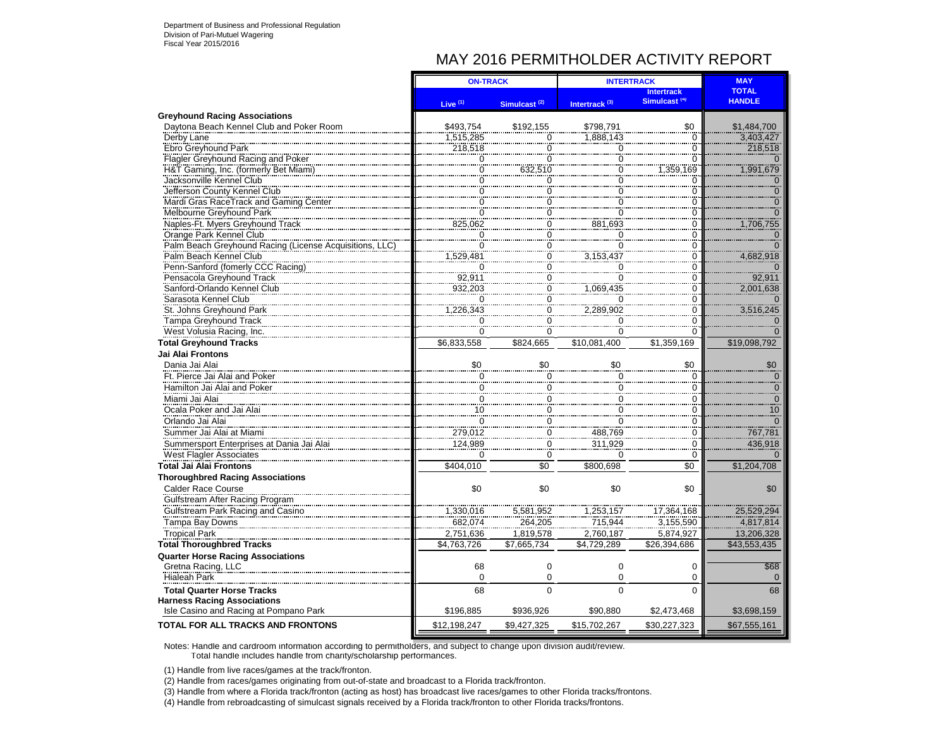# MAY 2016 PERMITHOLDER ACTIVITY REPORT

|                                                             | <b>ON-TRACK</b>                  |                                  | <b>INTERTRACK</b>                    | <b>MAY</b>                       |                            |
|-------------------------------------------------------------|----------------------------------|----------------------------------|--------------------------------------|----------------------------------|----------------------------|
|                                                             |                                  |                                  |                                      | <b>Intertrack</b>                | <b>TOTAL</b>               |
|                                                             | Live $(1)$                       | Simulcast <sup>(2)</sup>         | Intertrack <sup>(3)</sup>            | Simulcast <sup>(4)</sup>         | <b>HANDLE</b>              |
| <b>Greyhound Racing Associations</b>                        |                                  |                                  |                                      |                                  |                            |
| Daytona Beach Kennel Club and Poker Room                    | \$493,754                        | \$192.155                        | \$798,791                            | \$0                              | \$1,484,700                |
| Derby Lane                                                  | 1.515.285                        | $\overline{0}$                   | 1.888.143                            | $\Omega$                         | 3.403.427                  |
| Ebro Greyhound Park                                         | 218,518                          | $\mathbf 0$                      | 0                                    | $\Omega$                         | 218,518                    |
| Flagler Greyhound Racing and Poker                          | $\ddot{o}$                       | $\Omega$                         | $\overline{0}$                       | $\Omega$                         |                            |
| H&T Gaming, Inc. (formerly Bet Miami)                       | $\overline{0}$                   | 632,510                          | $\overline{0}$                       | 1,359,169                        | 1,991,679                  |
| Jacksonville Kennel Club                                    | $\overline{0}$                   | $\overline{0}$                   | $\check{\rm o}$                      | $\overline{0}$                   | $\overline{0}$             |
| Jefferson County Kennel Club                                | Ö                                | $\overline{0}$                   | $\overline{0}$                       | $\Omega$                         | $\overline{0}$             |
| Mardi Gras RaceTrack and Gaming Center                      | 0                                | $\Omega$                         | $\bar{0}$                            | $\Omega$                         | $\overline{0}$             |
| Melbourne Greyhound Park                                    | C                                | $\overline{0}$                   | $\overline{0}$                       | C                                | $\overline{O}$             |
| Naples-Ft. Myers Greyhound Track                            | 825,062                          | $\overline{0}$<br>$\overline{0}$ | 881,693                              | Ö                                | 1,706,755                  |
| Orange Park Kennel Club                                     | 0<br>$\overline{0}$              | $\overline{0}$                   | $\begin{matrix} 0 \\ 0 \end{matrix}$ | $\Omega$                         | $\Omega$<br>$\overline{0}$ |
| Palm Beach Greyhound Racing (License Acquisitions, LLC      |                                  | $\frac{0}{0}$                    | 3,153,437                            | $\Omega$                         |                            |
| Palm Beach Kennel Club<br>Penn-Sanford (fomerly CCC Racing) | 1,529,481<br>$\overline{0}$      | $\check{0}$                      | $\overline{0}$                       | $\overline{0}$<br>$\overline{0}$ | 4,682,918                  |
|                                                             |                                  | $\overline{0}$                   | $\overline{0}$                       |                                  | $\Omega$                   |
| Pensacola Greyhound Track<br>Sanford-Orlando Kennel Club    | 92,911<br>932,203                | $\ddot{o}$                       | 1,069,435                            | $\mathbf 0$                      | 92,911<br>2,001,638        |
| Sarasota Kennel Club                                        | $\Omega$                         | $\overline{0}$                   | $\Omega$                             | $\Omega$<br>$\overline{0}$       |                            |
| St. Johns Greyhound Park                                    | 1,226,343                        | $\check{\overline{0}}$           | 2,289,902                            | $\overline{0}$                   | 3,516,245                  |
| Tampa Greyhound Track                                       | $\Omega$                         | $\overline{0}$                   | $\mathbf 0$                          | $\Omega$                         | $\overline{0}$             |
| West Volusia Racing, Inc.                                   | $\overline{0}$                   | $\overline{0}$                   | 0                                    | $\Omega$                         |                            |
| <b>Total Greyhound Tracks</b>                               | \$6,833,558                      | \$824.665                        | \$10.081.400                         | \$1.359.169                      | \$19,098,792               |
| Jai Alai Frontons                                           |                                  |                                  |                                      |                                  |                            |
|                                                             |                                  |                                  |                                      |                                  |                            |
| Dania Jai Alai                                              | \$0                              | \$0                              | \$0                                  | \$0<br>$\Omega$                  | \$0                        |
| Ft. Pierce Jai Alai and Poker                               | 0                                | $\frac{0}{2}$                    | 0                                    |                                  | $\Omega$                   |
| Hamilton Jai Alai and Poker                                 | $\frac{0}{10}$<br>$\frac{10}{0}$ | $\frac{0}{2}$                    | 000000                               | $\Omega$                         | $\overline{0}$             |
| Miami Jai Alai                                              |                                  | $\frac{0}{0}$                    |                                      | $\Omega$                         | $\mathbf 0$                |
| Ocala Poker and Jai Alai                                    |                                  |                                  |                                      | $\Omega$                         | 10                         |
| Orlando Jai Alai                                            |                                  | $\Omega$<br>$\frac{6}{0}$        |                                      | $\Omega$<br>$\overline{0}$       |                            |
| Summer Jai Alai at Miami                                    | $\frac{1}{279,012}$<br>124,989   | $\frac{6}{0}$                    | 488,769<br>311,929                   | $\overline{0}$                   | 767,781                    |
| Summersport Enterprises at Dania Jai Alai                   |                                  | $\overline{0}$                   |                                      | $\overline{0}$                   | 436,918                    |
| <b>West Flagler Associates</b>                              | $\Omega$                         |                                  | $\Omega$                             |                                  | $\Omega$                   |
| <b>Total Jai Alai Frontons</b>                              | \$404,010                        | \$0                              | \$800,698                            | \$0                              | \$1,204,708                |
| <b>Thoroughbred Racing Associations</b>                     |                                  |                                  |                                      |                                  |                            |
| Calder Race Course                                          | \$0                              | \$0                              | \$0                                  | \$0                              | \$0                        |
| Gulfstream After Racing Program                             |                                  |                                  |                                      |                                  |                            |
| Gulfstream Park Racing and Casino                           | 1,330,016                        | 5,581,952                        | 1,253,157                            | 17,364,168                       | 25,529,294                 |
| Tampa Bay Downs                                             | 682,074                          | 264,205                          | 715,944                              | 3,155,590                        | 4,817,814                  |
| Tropical Park                                               | 2,751,636                        | 1,819,578                        | 2,760,187                            | 5,874,927                        | 13,206,328                 |
| <b>Total Thoroughbred Tracks</b>                            | \$4,763,726                      | \$7,665,734                      | \$4,729,289                          | \$26,394,686                     | \$43,553,435               |
| <b>Quarter Horse Racing Associations</b>                    |                                  |                                  |                                      |                                  |                            |
| Gretna Racing, LLC                                          | 68                               | $\mathbf 0$                      | $\mathbf 0$                          | $\Omega$                         | \$68                       |
| <b>Hialeah Park</b>                                         | $\Omega$                         | $\Omega$                         | $\Omega$                             | $\Omega$                         | $\Omega$                   |
| <b>Total Quarter Horse Tracks</b>                           | 68                               | $\Omega$                         | $\Omega$                             | $\Omega$                         | 68                         |
| <b>Harness Racing Associations</b>                          |                                  |                                  |                                      |                                  |                            |
| Isle Casino and Racing at Pompano Park                      | \$196.885                        | \$936.926                        | \$90.880                             | \$2.473.468                      | \$3.698.159                |
| TOTAL FOR ALL TRACKS AND FRONTONS                           | \$12,198,247                     | \$9,427,325                      | \$15,702,267                         | \$30,227,323                     | \$67,555,161               |

Notes: Handle and cardroom information according to permitholders, and subject to change upon division audit/review. Total handle includes handle from charity/scholarship performances.

(1) Handle from live races/games at the track/fronton.

(2) Handle from races/games originating from out-of-state and broadcast to a Florida track/fronton.

(3) Handle from where a Florida track/fronton (acting as host) has broadcast live races/games to other Florida tracks/frontons.